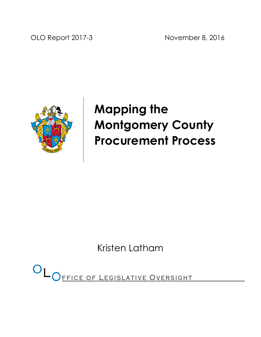OLO Report 2017-3 November 8, 2016



# Mapping the Montgomery County Procurement Process

Kristen Latham

OL OFFICE OF LEGISLATIVE OVERSIGHT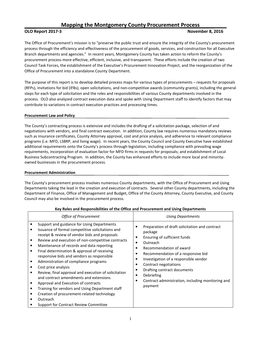## Mapping the Montgomery County Procurement Process

#### OLO Report 2017-3 November 8, 2016

The Office of Procurement's mission is to "preserve the public trust and ensure the integrity of the County's procurement process through the efficiency and effectiveness of the procurement of goods, services, and construction for all Executive Branch departments and agencies." In recent years, Montgomery County has taken action to reform the County's procurement process more effective, efficient, inclusive, and transparent. These efforts include the creation of two Council Task Forces, the establishment of the Executive's Procurement Innovation Project, and the reorganization of the Office of Procurement into a standalone County Department.

The purpose of this report is to develop detailed process maps for various types of procurements – requests for proposals (RFPs), invitations for bid (IFBs), open solicitations, and non-competitive awards (community grants), including the general steps for each type of solicitation and the roles and responsibilities of various County departments involved in the process. OLO also analyzed contract execution data and spoke with Using Department staff to identify factors that may contribute to variations in contract execution practices and processing times.

#### Procurement Law and Policy

The County's contracting process is extensive and includes the drafting of a solicitation package, selection of and negotiations with vendors, and final contract execution. In addition, County law requires numerous mandatory reviews such as insurance certificates, County Attorney approval, cost and price analysis, and adherence to relevant compliance programs (i.e. MFD, LSBRP, and living wage). In recent years, the County Council and County Executive have established additional requirements onto the County's process through legislation, including compliance with prevailing wage requirements, incorporation of evaluation factor for MFD firms in requests for proposals; and establishment of Local Business Subcontracting Program. In addition, the County has enhanced efforts to include more local and minorityowned businesses in the procurement process.

#### Procurement Administration

The County's procurement process involves numerous County departments, with the Office of Procurement and Using Departments taking the lead in the creation and execution of contracts. Several other County departments, including the Department of Finance, Office of Management and Budget, Office of the County Attorney, County Executive, and County Council may also be involved in the procurement process.

| <b>Office of Procurement</b>                                                                                                                                                                                                                                                                                                                                                                                                                                                                                                                                                                                                                                                                                  | Using Departments                                                                                                                                                                                                                                                                                                                                                    |
|---------------------------------------------------------------------------------------------------------------------------------------------------------------------------------------------------------------------------------------------------------------------------------------------------------------------------------------------------------------------------------------------------------------------------------------------------------------------------------------------------------------------------------------------------------------------------------------------------------------------------------------------------------------------------------------------------------------|----------------------------------------------------------------------------------------------------------------------------------------------------------------------------------------------------------------------------------------------------------------------------------------------------------------------------------------------------------------------|
| Support and guidance for Using Departments<br>Issuance of formal competitive solicitations and<br>receipt & review of vendor bids and proposals<br>Review and execution of non-competitive contracts<br>Maintenance of records and data reporting<br>Final determination & approval of receiving<br>responsive bids and vendors as responsible<br>Administration of compliance programs<br>Cost price analysis<br>Review, final approval and execution of solicitation<br>and contract amendments and extensions<br>Approval and Execution of contracts<br>Training for vendors and Using Department staff<br>Creation of procurement-related technology<br>Outreach<br>Support for Contract Review Committee | Preparation of draft solicitation and contract<br>package<br>Ensuring of sufficient funds<br>Outreach<br>с<br>Recommendation of award<br>Recommendation of a responsive bid<br>Investigation of a responsible vendor<br>Contract negotiations<br>с<br>Drafting contract documents<br>Debriefing<br>٠<br>Contract administration, including monitoring and<br>payment |

#### Key Roles and Responsibilities of the Office and Procurement and Using Departments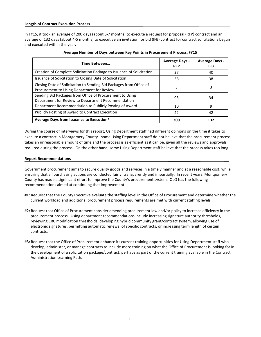#### Length of Contract Execution Process

In FY15, it took an average of 200 days (about 6-7 months) to execute a request for proposal (RFP) contract and an average of 132 days (about 4-5 months) to executive an invitation for bid (IFB) contract for contract solicitations begun and executed within the year.

| Time Between                                                                                                      | <b>Average Days -</b><br><b>RFP</b> | <b>Average Days -</b><br>IFB |
|-------------------------------------------------------------------------------------------------------------------|-------------------------------------|------------------------------|
| Creation of Complete Solicitation Package to Issuance of Solicitation                                             | 27                                  | 40                           |
| Issuance of Solicitation to Closing Date of Solicitation                                                          | 38                                  | 38                           |
| Closing Date of Solicitation to Sending Bid Packages from Office of<br>Procurement to Using Department for Review | 3                                   | 3                            |
| Sending Bid Packages from Office of Procurement to Using<br>Department for Review to Department Recommendation    | 93                                  | 34                           |
| Department Recommendation to Publicly Posting of Award                                                            | 10                                  | 9                            |
| Publicly Posting of Award to Contract Execution                                                                   | 42                                  | 42                           |
| Average Days from Issuance to Execution*                                                                          | 200                                 | 132                          |

| Average Number of Days between Key Points in Procurement Process, FY15 |  |  |
|------------------------------------------------------------------------|--|--|
|                                                                        |  |  |

During the course of interviews for this report, Using Department staff had different opinions on the time it takes to execute a contract in Montgomery County - some Using Department staff do not believe that the procurement process takes an unreasonable amount of time and the process is as efficient as it can be, given all the reviews and approvals required during the process. On the other hand, some Using Department staff believe that the process takes too long.

#### Report Recommendations

Government procurement aims to secure quality goods and services in a timely manner and at a reasonable cost, while ensuring that all purchasing actions are conducted fairly, transparently and impartially. In recent years, Montgomery County has made a significant effort to improve the County's procurement system. OLO has the following recommendations aimed at continuing that improvement.

- #1: Request that the County Executive evaluate the staffing level in the Office of Procurement and determine whether the current workload and additional procurement process requirements are met with current staffing levels.
- #2: Request that Office of Procurement consider amending procurement law and/or policy to increase efficiency in the procurement process. Using department recommendations include increasing signature authority thresholds, reviewing CRC modification thresholds, developing hybrid community grant/contract system, allowing use of electronic signatures, permitting automatic renewal of specific contracts, or increasing term length of certain contracts.
- #3: Request that the Office of Procurement enhance its current training opportunities for Using Department staff who develop, administer, or manage contracts to include more training on what the Office of Procurement is looking for in the development of a solicitation package/contract, perhaps as part of the current training available in the Contract Administration Learning Path.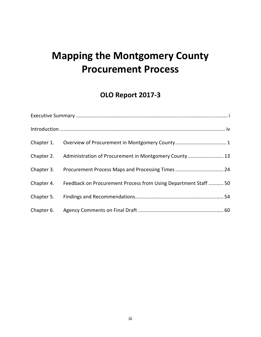# Mapping the Montgomery County Procurement Process

# OLO Report 2017-3

| Chapter 2. Administration of Procurement in Montgomery County  13          |
|----------------------------------------------------------------------------|
|                                                                            |
| Chapter 4. Feedback on Procurement Process from Using Department Staff  50 |
|                                                                            |
|                                                                            |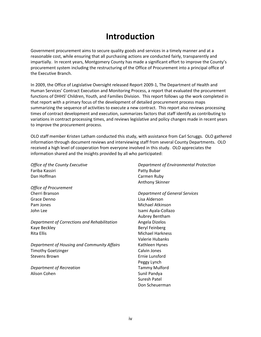# Introduction

Government procurement aims to secure quality goods and services in a timely manner and at a reasonable cost, while ensuring that all purchasing actions are conducted fairly, transparently and impartially. In recent years, Montgomery County has made a significant effort to improve the County's procurement system including the restructuring of the Office of Procurement into a principal office of the Executive Branch.

In 2009, the Office of Legislative Oversight released Report 2009-1, The Department of Health and Human Services' Contract Execution and Monitoring Process, a report that evaluated the procurement functions of DHHS' Children, Youth, and Families Division. This report follows up the work completed in that report with a primary focus of the development of detailed procurement process maps summarizing the sequence of activities to execute a new contract. This report also reviews processing times of contract development and execution, summarizes factors that staff identify as contributing to variations in contract processing times, and reviews legislative and policy changes made in recent years to improve the procurement process.

OLO staff member Kristen Latham conducted this study, with assistance from Carl Scruggs. OLO gathered information through document reviews and interviewing staff from several County Departments. OLO received a high level of cooperation from everyone involved in this study. OLO appreciates the information shared and the insights provided by all who participated:

Office of the County Executive Fariba Kassiri Dan Hoffman

Office of Procurement Cherri Branson Grace Denno Pam Jones John Lee

Department of Corrections and Rehabilitation Kaye Beckley Rita Ellis

Department of Housing and Community Affairs Timothy Goetzinger Stevens Brown

Department of Recreation Alison Cohen

Department of Environmental Protection Patty Bubar Carmen Ruby Anthony Skinner

Department of General Services Lisa Alderson Michael Atkinson Isami Ayala-Collazo Aubrey Bentham Angela Dizelos Beryl Feinberg Michael Harkness Valerie Hubanks Kathleen Hynes Calvin Jones Ernie Lunsford Peggy Lynch Tammy Mulford Sunil Pandya Suresh Patel Don Scheuerman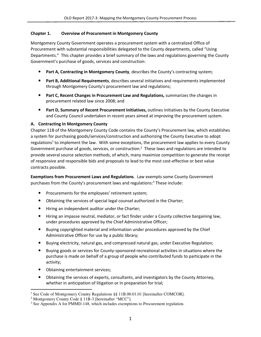### Chapter 1. Overview of Procurement in Montgomery County

Montgomery County Government operates a procurement system with a centralized Office of Procurement with substantial responsibilities delegated to the County departments, called "Using Departments." This chapter provides a brief summary of the laws and regulations governing the County Government's purchase of goods, services and construction:

- Part A, Contracting in Montgomery County, describes the County's contracting system;
- Part B, Additional Requirements, describes several initiatives and requirements implemented through Montgomery County's procurement law and regulations;
- Part C, Recent Changes in Procurement Law and Regulations, summarizes the changes in procurement related law since 2008; and
- Part D, Summary of Recent Procurement Initiatives, outlines initiatives by the County Executive and County Council undertaken in recent years aimed at improving the procurement system.

## A. Contracting In Montgomery County

Chapter 11B of the Montgomery County Code contains the County's Procurement law, which establishes a system for purchasing goods/services/construction and authorizing the County Executive to adopt regulations<sup>1</sup> to implement the law. With some exceptions, the procurement law applies to every County Government purchase of goods, services, or construction.<sup>2</sup> These laws and regulations are intended to provide several source selection methods, of which, many maximize competition to generate the receipt of responsive and responsible bids and proposals to lead to the most cost-effective or best value contracts possible.

Exemptions from Procurement Laws and Regulations. Law exempts some County Government purchases from the County's procurement laws and regulations:<sup>3</sup> These include:

- Procurements for the employees' retirement system;
- Obtaining the services of special legal counsel authorized in the Charter;
- Hiring an independent auditor under the Charter;
- Hiring an impasse neutral, mediator, or fact finder under a County collective bargaining law, under procedures approved by the Chief Administrative Officer;
- Buying copyrighted material and information under procedures approved by the Chief Administrative Officer for use by a public library;
- Buying electricity, natural gas, and compressed natural gas, under Executive Regulation;
- Buying goods or services for County-sponsored recreational activities in situations where the purchase is made on behalf of a group of people who contributed funds to participate in the activity;
- Obtaining entertainment services;
- Obtaining the services of experts, consultants, and investigators by the County Attorney, whether in anticipation of litigation or in preparation for trial;

 $\overline{a}$ <sup>1</sup> See Code of Montgomery County Regulations §§ 11B.00.01.01 [hereinafter COMCOR].

<sup>&</sup>lt;sup>2</sup> Montgomery County Code § 11B-3 [hereinafter "MCC"].

<sup>&</sup>lt;sup>3</sup> See Appendix A for PMMD-148, which includes exemptions to Procurement regulation.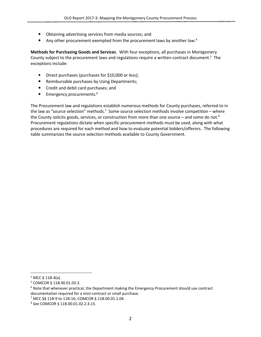- Obtaining advertising services from media sources; and
- Any other procurement exempted from the procurement laws by another law.<sup>4</sup>

Methods for Purchasing Goods and Services. With four exceptions, all purchases in Montgomery County subject to the procurement laws and regulations require a written contract document.<sup>5</sup> The exceptions include:

- Direct purchases (purchases for \$10,000 or less);
- Reimbursable purchases by Using Departments;
- Credit and debit card purchases; and
- Emergency procurements.<sup>6</sup>

The Procurement law and regulations establish numerous methods for County purchases, referred to in the law as "source selection" methods.<sup>7</sup> Some source selection methods involve competition – where the County solicits goods, services, or construction from more than one source – and some do not.<sup>8</sup> Procurement regulations dictate when specific procurement methods must be used, along with what procedures are required for each method and how to evaluate potential bidders/offerors. The following table summarizes the source selection methods available to County Government.

l

 $4$  MCC § 11B-4(a).

<sup>5</sup> COMCOR § 11B.00.01.03.3.

<sup>&</sup>lt;sup>6</sup> Note that whenever practical, the Department making the Emergency Procurement should use contract documentation required for a mini-contract or small purchase.

<sup>7</sup> MCC §§ 11B-9 to 11B-16; COMCOR § 11B.00.01.1.04.

<sup>8</sup> See COMCOR § 11B.00.01.02.2.4.15.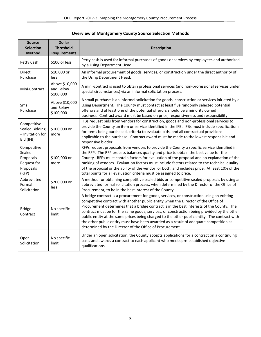# Overview of Montgomery County Source Selection Methods

| <b>Source</b><br><b>Selection</b><br><b>Method</b>                       | <b>Dollar</b><br><b>Threshold</b><br><b>Requirements</b> | <b>Description</b>                                                                                                                                                                                                                                                                                                                                                                                                                                                                                                                                                                                                              |
|--------------------------------------------------------------------------|----------------------------------------------------------|---------------------------------------------------------------------------------------------------------------------------------------------------------------------------------------------------------------------------------------------------------------------------------------------------------------------------------------------------------------------------------------------------------------------------------------------------------------------------------------------------------------------------------------------------------------------------------------------------------------------------------|
| Petty Cash                                                               | \$100 or less                                            | Petty cash is used for informal purchases of goods or services by employees and authorized<br>by a Using Department Head.                                                                                                                                                                                                                                                                                                                                                                                                                                                                                                       |
| Direct<br>Purchase                                                       | \$10,000 or<br>less                                      | An informal procurement of goods, services, or construction under the direct authority of<br>the Using Department Head.                                                                                                                                                                                                                                                                                                                                                                                                                                                                                                         |
| Mini-Contract                                                            | Above \$10,000<br>and Below<br>\$100,000                 | A mini-contract is used to obtain professional services (and non-professional services under<br>special circumstances) via an informal solicitation process.                                                                                                                                                                                                                                                                                                                                                                                                                                                                    |
| Small<br>Purchase                                                        | Above \$10,000<br>and Below<br>\$100,000                 | A small purchase is an informal solicitation for goods, construction or services initiated by a<br>Using Department. The County must contact at least five randomly selected potential<br>offerors and at least one of the potential offerors should be a minority owned<br>business. Contract award must be based on price, responsiveness and responsibility.                                                                                                                                                                                                                                                                 |
| Competitive<br><b>Sealed Bidding</b><br>- Invitation for<br>Bid (IFB)    | \$100,000 or<br>more                                     | IFBs request bids from vendors for construction, goods and non-professional services to<br>provide the County an item or service identified in the IFB. IFBs must include specifications<br>for items being purchased, criteria to evaluate bids, and all contractual provisions<br>applicable to the purchase. Contract award must be made to the lowest responsible and<br>responsive bidder.                                                                                                                                                                                                                                 |
| Competitive<br>Sealed<br>Proposals-<br>Request for<br>Proposals<br>(RFP) | \$100,000 or<br>more                                     | RFPs request proposals from vendors to provide the County a specific service identified in<br>the RFP. The RFP process balances quality and price to obtain the best value for the<br>County. RFPs must contain factors for evaluation of the proposal and an explanation of the<br>ranking of vendors. Evaluation factors must include factors related to the technical quality<br>of the proposal or the ability of the vendor, or both, and includes price. At least 10% of the<br>total points for all evaluation criteria must be assigned to price.                                                                       |
| Abbreviated<br>Formal<br>Solicitation                                    | \$200,000 or<br>less                                     | A method for obtaining competitive sealed bids or competitive sealed proposals by using an<br>abbreviated formal solicitation process, when determined by the Director of the Office of<br>Procurement, to be in the best interest of the County.                                                                                                                                                                                                                                                                                                                                                                               |
| <b>Bridge</b><br>Contract                                                | No specific<br>limit                                     | A bridge contract is a procurement for goods, services, or construction using an existing<br>competitive contract with another public entity when the Director of the Office of<br>Procurement determines that a bridge contract is in the best interests of the County. The<br>contract must be for the same goods, services, or construction being provided by the other<br>public entity at the same prices being charged to the other public entity. The contract with<br>the other public entity must have been awarded as a result of adequate competition as<br>determined by the Director of the Office of Procurement. |
| Open<br>Solicitation                                                     | No specific<br>limit                                     | Under an open solicitation, the County accepts applications for a contract on a continuing<br>basis and awards a contract to each applicant who meets pre-established objective<br>qualifications.                                                                                                                                                                                                                                                                                                                                                                                                                              |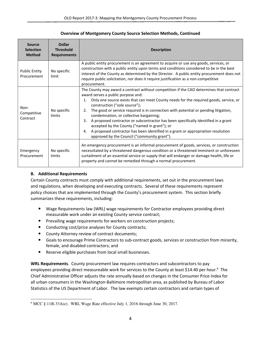#### Overview of Montgomery County Source Selection Methods, Continued

| <b>Source</b><br><b>Selection</b><br><b>Method</b> | <b>Dollar</b><br><b>Threshold</b><br><b>Requirements</b> | <b>Description</b>                                                                                                                                                                                                                                                                                                                                                                                                                                                                                                                                                                                                                                                                           |  |
|----------------------------------------------------|----------------------------------------------------------|----------------------------------------------------------------------------------------------------------------------------------------------------------------------------------------------------------------------------------------------------------------------------------------------------------------------------------------------------------------------------------------------------------------------------------------------------------------------------------------------------------------------------------------------------------------------------------------------------------------------------------------------------------------------------------------------|--|
| <b>Public Entity</b><br>Procurement                | No specific<br>limit                                     | A public entity procurement is an agreement to acquire or use any goods, services, or<br>construction with a public entity upon terms and conditions considered to be in the best<br>interest of the County as determined by the Director. A public entity procurement does not<br>require public solicitation, nor does it require justification as a non-competitive<br>procurement.                                                                                                                                                                                                                                                                                                       |  |
| Non-<br>Competitive<br>Contract                    | No specific<br>limits                                    | The County may award a contract without competition if the CAO determines that contract<br>award serves a public purpose and:<br>Only one source exists that can meet County needs for the required goods, service, or<br>1.<br>construction ("sole source");<br>The good or service required is in connection with potential or pending litigation,<br>2.<br>condemnation, or collective bargaining;<br>A proposed contractor or subcontractor has been specifically identified in a grant<br>3.<br>accepted by the County ("named in grant"); or<br>A proposed contractor has been identified in a grant or appropriation resolution<br>4.<br>approved by the Council ("community grant"). |  |
| Emergency<br>Procurement                           | No specific<br>limits                                    | An emergency procurement is an informal procurement of goods, services, or construction<br>necessitated by a threatened dangerous condition or a threatened imminent or unforeseen<br>curtailment of an essential service or supply that will endanger or damage health, life or<br>property and cannot be remedied through a normal procurement.                                                                                                                                                                                                                                                                                                                                            |  |

# B. Additional Requirements

Certain County contracts must comply with additional requirements, set out in the procurement laws and regulations, when developing and executing contracts. Several of these requirements represent policy choices that are implemented through the County's procurement system. This section briefly summarizes these requirements, including:

- Wage Requirements law (WRL) wage requirements for Contractor employees providing direct measurable work under an existing County service contract;
- Prevailing wage requirements for workers on construction projects;
- Conducting cost/price analyses for County contracts;
- County Attorney review of contract documents;
- Goals to encourage Prime Contractors to sub-contract goods, services or construction from minority, female, and disabled contractors; and
- Reserve eligible purchases from local small businesses.

WRL Requirements. County procurement law requires contractors and subcontractors to pay employees providing direct measureable work for services to the County at least \$14.40 per hour.<sup>9</sup> The Chief Administrative Officer adjusts the rate annually based on changes in the Consumer Price Index for all urban consumers in the Washington-Baltimore metropolitan area, as published by Bureau of Labor Statistics of the US Department of Labor. The law exempts certain contractors and certain types of

<sup>&</sup>lt;sup>9</sup> MCC § 11B-33A(e). WRL Wage Rate effective July 1, 2016 through June 30, 2017.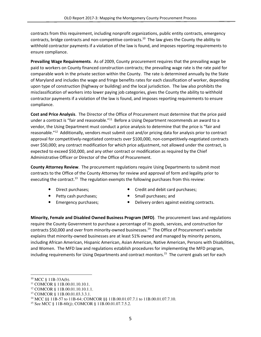contracts from this requirement, including nonprofit organizations, public entity contracts, emergency contracts, bridge contracts and non-competitive contracts.<sup>10</sup> The law gives the County the ability to withhold contractor payments if a violation of the law is found, and imposes reporting requirements to ensure compliance.

Prevailing Wage Requirements. As of 2009, County procurement requires that the prevailing wage be paid to workers on County financed construction contracts; the prevailing wage rate is the rate paid for comparable work in the private section within the County. The rate is determined annually by the State of Maryland and includes the wage and fringe benefits rates for each classification of worker, depending upon type of construction (highway or building) and the local jurisdiction. The law also prohibits the misclassification of workers into lower paying job categories, gives the County the ability to withhold contractor payments if a violation of the law is found, and imposes reporting requirements to ensure compliance.

Cost and Price Analysis. The Director of the Office of Procurement must determine that the price paid under a contract is "fair and reasonable."<sup>11</sup> Before a Using Department recommends an award to a vendor, the Using Department must conduct a price analysis to determine that the price is "fair and reasonable."<sup>12</sup> Additionally, vendors must submit cost and/or pricing data for analysis prior to contract approval for competitively-negotiated contracts over \$100,000, non-competitively-negotiated contracts over \$50,000; any contract modification for which price adjustment, not allowed under the contract, is expected to exceed \$50,000, and any other contract or modification as required by the Chief Administrative Officer or Director of the Office of Procurement.

County Attorney Review. The procurement regulations require Using Departments to submit most contracts to the Office of the County Attorney for review and approval of form and legality prior to executing the contract.<sup>13</sup> The regulation exempts the following purchases from this review:

- 
- Petty cash purchases; The Small purchases; and
- 
- Direct purchases; Credit and debit card purchases;
	-
- Emergency purchases; • Delivery orders against existing contracts.

Minority, Female and Disabled Owned Business Program (MFD). The procurement laws and regulations require the County Government to purchase a percentage of its goods, services, and construction for contracts \$50,000 and over from minority-owned businesses.<sup>14</sup> The Office of Procurement's website explains that minority-owned businesses are at least 51% owned and managed by minority persons, including African American, Hispanic American, Asian American, Native American, Persons with Disabilities, and Women. The MFD law and regulations establish procedures for implementing the MFD program, including requirements for Using Departments and contract monitors.<sup>15</sup> The current goals set for each

l

<sup>10</sup> MCC § 11B-33A(b).

<sup>11</sup> COMCOR § 11B.00.01.10.10.1.

<sup>12</sup> COMCOR § 11B.00.01.10.10.1.1.

<sup>13</sup> COMCOR § 11B.00.01.03.3.3.1.

<sup>&</sup>lt;sup>14</sup> MCC §§ 11B-57 to 11B-64; COMCOR §§ 11B.00.01.07.7.1 to 11B.00.01.07.7.10.

<sup>15</sup> See MCC § 11B-60(j); COMCOR § 11B.00.01.07.7.5.2.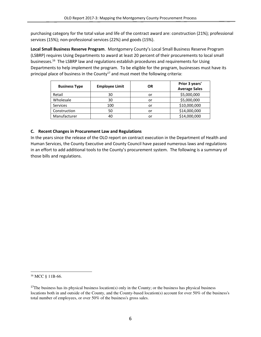purchasing category for the total value and life of the contract award are: construction (21%); professional services (15%); non-professional services (22%) and goods (15%).

Local Small Business Reserve Program. Montgomery County's Local Small Business Reserve Program (LSBRP) requires Using Departments to award at least 20 percent of their procurements to local small businesses.<sup>16</sup> The LSBRP law and regulations establish procedures and requirements for Using Departments to help implement the program. To be eligible for the program, businesses must have its principal place of business in the County<sup>17</sup> and must meet the following criteria:

| <b>Business Type</b> | <b>Employee Limit</b> | <b>OR</b> | Prior 3 years'<br><b>Average Sales</b> |
|----------------------|-----------------------|-----------|----------------------------------------|
| Retail               | 30                    | or        | \$5,000,000                            |
| Wholesale            | 30                    | or        | \$5,000,000                            |
| <b>Services</b>      | 100                   | or        | \$10,000,000                           |
| Construction         | 50                    | or        | \$14,000,000                           |
| Manufacturer         | 40                    | or        | \$14,000,000                           |

# C. Recent Changes in Procurement Law and Regulations

In the years since the release of the OLO report on contract execution in the Department of Health and Human Services, the County Executive and County Council have passed numerous laws and regulations in an effort to add additional tools to the County's procurement system. The following is a summary of those bills and regulations.

<sup>&</sup>lt;sup>16</sup> MCC § 11B-66.

 $17$ The business has its physical business location(s) only in the County; or the business has physical business locations both in and outside of the County, and the County-based location(s) account for over 50% of the business's total number of employees, or over 50% of the business's gross sales.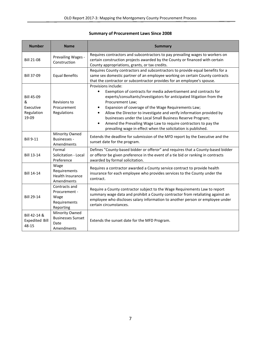# Summary of Procurement Laws Since 2008

| <b>Number</b>                                              | <b>Name</b>                                                         | <b>Summary</b>                                                                                                                                                                                                                                                                                                                                                                                                                                                                                                                                  |
|------------------------------------------------------------|---------------------------------------------------------------------|-------------------------------------------------------------------------------------------------------------------------------------------------------------------------------------------------------------------------------------------------------------------------------------------------------------------------------------------------------------------------------------------------------------------------------------------------------------------------------------------------------------------------------------------------|
| <b>Bill 21-08</b>                                          | Prevailing Wages -<br>Construction                                  | Requires contractors and subcontractors to pay prevailing wages to workers on<br>certain construction projects awarded by the County or financed with certain<br>County appropriations, grants, or tax credits.                                                                                                                                                                                                                                                                                                                                 |
| <b>Bill 37-09</b>                                          | <b>Equal Benefits</b>                                               | Requires County contractors and subcontractors to provide equal benefits for a<br>same sex domestic partner of an employee working on certain County contracts<br>that the contractor or subcontractor provides for an employee's spouse.                                                                                                                                                                                                                                                                                                       |
| <b>Bill 45-09</b><br>&<br>Executive<br>Regulation<br>19-09 | Revisions to<br>Procurement<br>Regulations                          | Provisions include:<br>Exemption of contracts for media advertisement and contracts for<br>$\bullet$<br>experts/consultants/investigators for anticipated litigation from the<br>Procurement Law;<br>Expansion of coverage of the Wage Requirements Law;<br>Allow the Director to investigate and verify information provided by<br>businesses under the Local Small Business Reserve Program;<br>Amend the Prevailing Wage Law to require contractors to pay the<br>$\bullet$<br>prevailing wage in effect when the solicitation is published. |
| <b>Bill 9-11</b>                                           | Minority Owned<br><b>Businesses -</b><br>Amendments                 | Extends the deadline for submission of the MFD report by the Executive and the<br>sunset date for the program.                                                                                                                                                                                                                                                                                                                                                                                                                                  |
| <b>Bill 13-14</b>                                          | Formal<br>Solicitation - Local<br>Preference                        | Defines "County-based bidder or offeror" and requires that a County-based bidder<br>or offeror be given preference in the event of a tie bid or ranking in contracts<br>awarded by formal solicitation.                                                                                                                                                                                                                                                                                                                                         |
| <b>Bill 14-14</b>                                          | Wage<br>Requirements<br><b>Health Insurance</b><br>Amendments       | Requires a contractor awarded a County service contract to provide health<br>insurance for each employee who provides services to the County under the<br>contract.                                                                                                                                                                                                                                                                                                                                                                             |
| <b>Bill 29-14</b>                                          | Contracts and<br>Procurement -<br>Wage<br>Requirements<br>Reporting | Require a County contractor subject to the Wage Requirements Law to report<br>summary wage data and prohibit a County contractor from retaliating against an<br>employee who discloses salary information to another person or employee under<br>certain circumstances.                                                                                                                                                                                                                                                                         |
| Bill 42-14 &<br><b>Expedited Bill</b><br>48-15             | Minority Owned<br><b>Businesses Sunset</b><br>Date<br>Amendments    | Extends the sunset date for the MFD Program.                                                                                                                                                                                                                                                                                                                                                                                                                                                                                                    |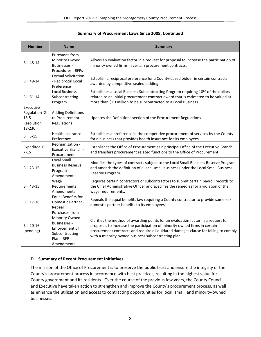#### Summary of Procurement Laws Since 2008, Continued

| <b>Number</b>                                              | <b>Name</b>                                                                                                        | <b>Summary</b>                                                                                                                                                                                                                                                                                                |
|------------------------------------------------------------|--------------------------------------------------------------------------------------------------------------------|---------------------------------------------------------------------------------------------------------------------------------------------------------------------------------------------------------------------------------------------------------------------------------------------------------------|
| <b>Bill 48-14</b>                                          | Purchases from<br>Minority Owned<br><b>Businesses -</b><br><b>Procedures - RFPs</b>                                | Allows an evaluation factor in a request for proposal to increase the participation of<br>minority owned firms in certain procurement contracts.                                                                                                                                                              |
| <b>Bill 49-14</b>                                          | <b>Formal Solicitation</b><br>- Reciprocal Local<br>Preference                                                     | Establish a reciprocal preference for a County-based bidder in certain contracts<br>awarded by competitive sealed bidding.                                                                                                                                                                                    |
| <b>Bill 61-14</b>                                          | <b>Local Business</b><br>Subcontracting<br>Program                                                                 | Establishes a Local Business Subcontracting Program requiring 10% of the dollars<br>related to an initial procurement contract award that is estimated to be valued at<br>more than \$10 million to be subcontracted to a Local Business.                                                                     |
| Executive<br>Regulation 2-<br>15 &<br>Resolution<br>18-230 | <b>Adding Definitions</b><br>to Procurement<br>Regulations                                                         | Updates the Definitions section of the Procurement Regulations.                                                                                                                                                                                                                                               |
| <b>Bill 5-15</b>                                           | <b>Health Insurance</b><br>Preference                                                                              | Establishes a preference in the competitive procurement of services by the County<br>for a business that provides health insurance for its employees.                                                                                                                                                         |
| <b>Expedited Bill</b><br>$7 - 15$                          | Reorganization -<br><b>Executive Branch -</b><br>Procurement                                                       | Establishes the Office of Procurement as a principal Office of the Executive Branch<br>and transfers procurement related functions to the Office of Procurement.                                                                                                                                              |
| <b>Bill 23-15</b>                                          | Local Small<br><b>Business Reserve</b><br>Program -<br>Amendments                                                  | Modifies the types of contracts subject to the Local Small Business Reserve Program<br>and amends the definition of a local small business under the Local Small Business<br>Reserve Program.                                                                                                                 |
| <b>Bill 43-15</b>                                          | Wage<br>Requirements<br>Amendments                                                                                 | Requires certain contractors or subcontractors to submit certain payroll records to<br>the Chief Administrative Officer and specifies the remedies for a violation of the<br>wage requirements.                                                                                                               |
| <b>Bill 17-16</b>                                          | <b>Equal Benefits for</b><br>Domestic Partner -<br>Repeal                                                          | Repeals the equal benefits law requiring a County contractor to provide same-sex<br>domestic partner benefits to its employees.                                                                                                                                                                               |
| <b>Bill 20-16</b><br>(pending)                             | Purchases from<br>Minority Owned<br>businesses -<br>Enforcement of<br>Subcontracting<br>Plan - RFP -<br>Amendments | Clarifies the method of awarding points for an evaluation factor in a request for<br>proposals to increase the participation of minority owned firms in certain<br>procurement contracts and require a liquidated damages clause for failing to comply<br>with a minority owned business subcontracting plan. |

#### D. Summary of Recent Procurement Initiatives

The mission of the Office of Procurement is to preserve the public trust and ensure the integrity of the County's procurement process in accordance with best practices, resulting in the highest value for County government and its residents. Over the course of the previous few years, the County Council and Executive have taken action to strengthen and improve the County's procurement process, as well as enhance the utilization and access to contracting opportunities for local, small, and minority-owned businesses.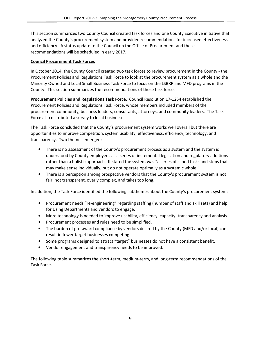This section summarizes two County Council created task forces and one County Executive initiative that analyzed the County's procurement system and provided recommendations for increased effectiveness and efficiency. A status update to the Council on the Office of Procurement and these recommendations will be scheduled in early 2017.

#### Council Procurement Task Forces

In October 2014, the County Council created two task forces to review procurement in the County - the Procurement Policies and Regulations Task Force to look at the procurement system as a whole and the Minority Owned and Local Small Business Task Force to focus on the LSBRP and MFD programs in the County. This section summarizes the recommendations of those task forces.

Procurement Policies and Regulations Task Force. Council Resolution 17-1254 established the Procurement Policies and Regulations Task Force, whose members included members of the procurement community, business leaders, consultants, attorneys, and community leaders. The Task Force also distributed a survey to local businesses.

The Task Force concluded that the County's procurement system works well overall but there are opportunities to improve competition, system usability, effectiveness, efficiency, technology, and transparency. Two themes emerged:

- There is no assessment of the County's procurement process as a system and the system is understood by County employees as a series of incremental legislation and regulatory additions rather than a holistic approach. It stated the system was "a series of siloed tasks and steps that may make sense individually, but do not operate optimally as a systemic whole."
- There is a perception among prospective vendors that the County's procurement system is not fair, not transparent, overly complex, and takes too long.

In addition, the Task Force identified the following subthemes about the County's procurement system:

- Procurement needs "re-engineering" regarding staffing (number of staff and skill sets) and help for Using Departments and vendors to engage.
- More technology is needed to improve usability, efficiency, capacity, transparency and analysis.
- Procurement processes and rules need to be simplified.
- The burden of pre-award compliance by vendors desired by the County (MFD and/or local) can result in fewer target businesses competing.
- Some programs designed to attract "target" businesses do not have a consistent benefit.
- Vendor engagement and transparency needs to be improved.

The following table summarizes the short-term, medium-term, and long-term recommendations of the Task Force.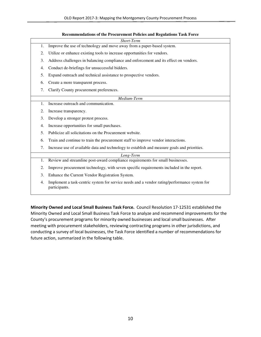|    | Short-Term                                                                                                    |
|----|---------------------------------------------------------------------------------------------------------------|
| 1. | Improve the use of technology and move away from a paper-based system.                                        |
| 2. | Utilize or enhance existing tools to increase opportunities for vendors.                                      |
| 3. | Address challenges in balancing compliance and enforcement and its effect on vendors.                         |
| 4. | Conduct de-briefings for unsuccessful bidders.                                                                |
| 5. | Expand outreach and technical assistance to prospective vendors.                                              |
| 6. | Create a more transparent process.                                                                            |
| 7. | Clarify County procurement preferences.                                                                       |
|    | Medium-Term                                                                                                   |
| 1. | Increase outreach and communication.                                                                          |
| 2. | Increase transparency.                                                                                        |
| 3. | Develop a stronger protest process.                                                                           |
| 4. | Increase opportunities for small purchases.                                                                   |
| 5. | Publicize all solicitations on the Procurement website.                                                       |
| 6. | Train and continue to train the procurement staff to improve vendor interactions.                             |
| 7. | Increase use of available data and technology to establish and measure goals and priorities.                  |
|    | Long-Term                                                                                                     |
| 1. | Review and streamline post-award compliance requirements for small businesses.                                |
| 2. | Improve procurement technology, with seven specific requirements included in the report.                      |
| 3. | Enhance the Current Vendor Registration System.                                                               |
| 4. | Implement a task-centric system for service needs and a vendor rating/performance system for<br>participants. |

Minority Owned and Local Small Business Task Force. Council Resolution 17-12531 established the Minority Owned and Local Small Business Task Force to analyze and recommend improvements for the County's procurement programs for minority owned businesses and local small businesses. After meeting with procurement stakeholders, reviewing contracting programs in other jurisdictions, and conducting a survey of local businesses, the Task Force identified a number of recommendations for future action, summarized in the following table.

#### **Recommendations of the Procurement Policies and Regulations Task Force**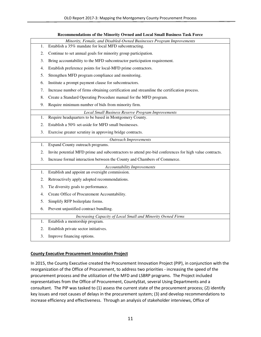|    | Minority, Female, and Disabled-Owned Businesses Program Improvements                                  |
|----|-------------------------------------------------------------------------------------------------------|
| 1. | Establish a 35% mandate for local MFD subcontracting.                                                 |
| 2. | Continue to set annual goals for minority group participation.                                        |
| 3. | Bring accountability to the MFD subcontractor participation requirement.                              |
| 4. | Establish preference points for local-MFD prime contractors.                                          |
| 5. | Strengthen MFD program compliance and monitoring.                                                     |
| 6. | Institute a prompt payment clause for subcontractors.                                                 |
| 7. | Increase number of firms obtaining certification and streamline the certification process.            |
| 8. | Create a Standard Operating Procedure manual for the MFD program.                                     |
| 9. | Require minimum number of bids from minority firm.                                                    |
|    | Local Small Business Reserve Program Improvements                                                     |
| 1. | Require headquarters to be based in Montgomery County.                                                |
| 2. | Establish a 50% set-aside for MFD small businesses.                                                   |
| 3. | Exercise greater scrutiny in approving bridge contracts.                                              |
|    | <b>Outreach Improvements</b>                                                                          |
| 1. | Expand County outreach programs.                                                                      |
| 2. | Invite potential MFD prime and subcontractors to attend pre-bid conferences for high value contracts. |
| 3. | Increase formal interaction between the County and Chambers of Commerce.                              |
|    | <b>Accountability Improvements</b>                                                                    |
| 1. | Establish and appoint an oversight commission.                                                        |
| 2. | Retroactively apply adopted recommendations.                                                          |
| 3. | Tie diversity goals to performance.                                                                   |
| 4. | Create Office of Procurement Accountability.                                                          |
| 5. | Simplify RFP boilerplate forms.                                                                       |
| 6. | Prevent unjustified contract bundling.                                                                |
|    | Increasing Capacity of Local Small and Minority Owned Firms                                           |
| 1. | Establish a mentorship program.                                                                       |
| 2. | Establish private sector initiatives.                                                                 |
| 3. | Improve financing options.                                                                            |

#### **Recommendations of the Minority Owned and Local Small Business Task Force**

# County Executive Procurement Innovation Project

In 2015, the County Executive created the Procurement Innovation Project (PIP), in conjunction with the reorganization of the Office of Procurement, to address two priorities - increasing the speed of the procurement process and the utilization of the MFD and LSBRP programs. The Project included representatives from the Office of Procurement, CountyStat, several Using Departments and a consultant. The PIP was tasked to (1) assess the current state of the procurement process; (2) identify key issues and root causes of delays in the procurement system; (3) and develop recommendations to increase efficiency and effectiveness. Through an analysis of stakeholder interviews, Office of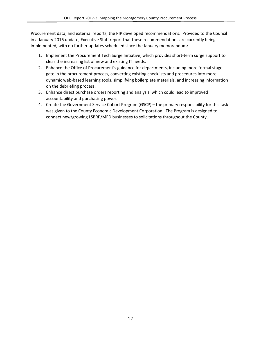Procurement data, and external reports, the PIP developed recommendations. Provided to the Council in a January 2016 update, Executive Staff report that these recommendations are currently being implemented, with no further updates scheduled since the January memorandum:

- 1. Implement the Procurement Tech Surge Initiative, which provides short-term surge support to clear the increasing list of new and existing IT needs.
- 2. Enhance the Office of Procurement's guidance for departments, including more formal stage gate in the procurement process, converting existing checklists and procedures into more dynamic web-based learning tools, simplifying boilerplate materials, and increasing information on the debriefing process.
- 3. Enhance direct purchase orders reporting and analysis, which could lead to improved accountability and purchasing power.
- 4. Create the Government Service Cohort Program (GSCP) the primary responsibility for this task was given to the County Economic Development Corporation. The Program is designed to connect new/growing LSBRP/MFD businesses to solicitations throughout the County.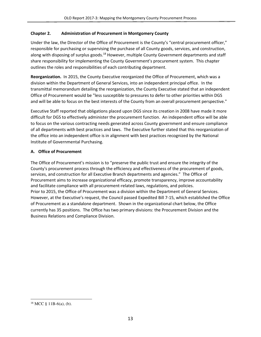# Chapter 2. Administration of Procurement in Montgomery County

Under the law, the Director of the Office of Procurement is the County's "central procurement officer," responsible for purchasing or supervising the purchase of all County goods, services, and construction, along with disposing of surplus goods.<sup>18</sup> However, multiple County Government departments and staff share responsibility for implementing the County Government's procurement system. This chapter outlines the roles and responsibilities of each contributing department.

Reorganization. In 2015, the County Executive reorganized the Office of Procurement, which was a division within the Department of General Services, into an independent principal office. In the transmittal memorandum detailing the reorganization, the County Executive stated that an independent Office of Procurement would be "less susceptible to pressures to defer to other priorities within DGS and will be able to focus on the best interests of the County from an overall procurement perspective."

Executive Staff reported that obligations placed upon DGS since its creation in 2008 have made it more difficult for DGS to effectively administer the procurement function. An independent office will be able to focus on the various contracting needs generated across County government and ensure compliance of all departments with best practices and laws. The Executive further stated that this reorganization of the office into an independent office is in alignment with best practices recognized by the National Institute of Governmental Purchasing.

#### A. Office of Procurement

The Office of Procurement's mission is to "preserve the public trust and ensure the integrity of the County's procurement process through the efficiency and effectiveness of the procurement of goods, services, and construction for all Executive Branch departments and agencies." The Office of Procurement aims to increase organizational efficacy, promote transparency, improve accountability and facilitate compliance with all procurement-related laws, regulations, and policies. Prior to 2015, the Office of Procurement was a division within the Department of General Services. However, at the Executive's request, the Council passed Expedited Bill 7-15, which established the Office of Procurement as a standalone department. Shown in the organizational chart below, the Office currently has 35 positions. The Office has two primary divisions: the Procurement Division and the Business Relations and Compliance Division.

 $\overline{\phantom{0}}$ 

 $18$  MCC § 11B-6(a), (b).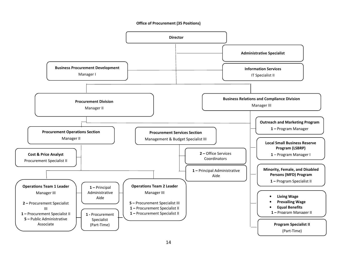#### Office of Procurement (35 Positions)

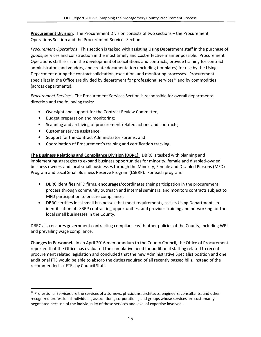Procurement Division. The Procurement Division consists of two sections – the Procurement Operations Section and the Procurement Services Section.

Procurement Operations. This section is tasked with assisting Using Department staff in the purchase of goods, services and construction in the most timely and cost-effective manner possible. Procurement Operations staff assist in the development of solicitations and contracts, provide training for contract administrators and vendors, and create documentation (including templates) for use by the Using Department during the contract solicitation, execution, and monitoring processes. Procurement specialists in the Office are divided by department for professional services<sup>19</sup> and by commodities (across departments).

Procurement Services. The Procurement Services Section is responsible for overall departmental direction and the following tasks:

- Oversight and support for the Contract Review Committee;
- Budget preparation and monitoring;
- Scanning and archiving of procurement related actions and contracts;
- Customer service assistance;

- Support for the Contract Administrator Forums; and
- Coordination of Procurement's training and certification tracking.

The Business Relations and Compliance Division (DBRC). DBRC is tasked with planning and implementing strategies to expand business opportunities for minority, female and disabled-owned business owners and local small businesses through the Minority, Female and Disabled Persons (MFD) Program and Local Small Business Reserve Program (LSBRP). For each program:

- DBRC identifies MFD firms, encourages/coordinates their participation in the procurement process through community outreach and internal seminars, and monitors contracts subject to MFD participation to ensure compliance.
- DBRC certifies local small businesses that meet requirements, assists Using Departments in identification of LSBRP contracting opportunities, and provides training and networking for the local small businesses in the County.

DBRC also ensures government contracting compliance with other policies of the County, including WRL and prevailing wage compliance.

Changes in Personnel. In an April 2016 memorandum to the County Council, the Office of Procurement reported that the Office has evaluated the cumulative need for additional staffing related to recent procurement related legislation and concluded that the new Administrative Specialist position and one additional FTE would be able to absorb the duties required of all recently passed bills, instead of the recommended six FTEs by Council Staff.

<sup>&</sup>lt;sup>19</sup> Professional Services are the services of attorneys, physicians, architects, engineers, consultants, and other recognized professional individuals, associations, corporations, and groups whose services are customarily negotiated because of the individuality of those services and level of expertise involved.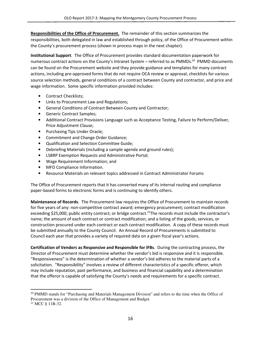Responsibilities of the Office of Procurement. The remainder of this section summarizes the responsibilities, both delegated in law and established through policy, of the Office of Procurement within the County's procurement process (shown in process maps in the next chapter).

Institutional Support. The Office of Procurement provides standard documentation paperwork for numerous contract actions on the County's Intranet System - referred to as PMMDs.<sup>20</sup> PMMD documents can be found on the Procurement website and they provide guidance and templates for many contract actions, including pre-approved forms that do not require OCA review or approval, checklists for various source selection methods, general conditions of a contract between County and contractor, and price and wage information. Some specific information provided includes:

- Contract Checklists;
- Links to Procurement Law and Regulations;
- General Conditions of Contract Between County and Contractor;
- Generic Contract Samples;
- Additional Contract Provisions Language such as Acceptance Testing, Failure to Perform/Deliver, Price Adjustment Clause;
- Purchasing Tips Under Oracle;
- Commitment and Change Order Guidance;
- Qualification and Selection Committee Guide;
- Debriefing Materials (including a sample agenda and ground rules);
- LSBRP Exemption Requests and Administrative Portal;
- Wage Requirement Information; and
- MFD Compliance Information.
- Resource Materials on relevant topics addressed in Contract Administrator Forums

The Office of Procurement reports that it has converted many of its internal routing and compliance paper-based forms to electronic forms and is continuing to identify others.

Maintenance of Records. The Procurement law requires the Office of Procurement to maintain records for five years of any: non-competitive contract award; emergency procurement; contract modification exceeding \$25,000; public entity contract; or bridge contract.<sup>21</sup>The records must include the contractor's name; the amount of each contract or contract modification; and a listing of the goods, services, or construction procured under each contract or each contract modification. A copy of these records must be submitted annually to the County Council. An Annual Record of Procurements is submitted to Council each year that provides a variety of required data on a given fiscal year's actions.

Certification of Vendors as Responsive and Responsible for IFBs. During the contracting process, the Director of Procurement must determine whether the vendor's bid is responsive and it is responsible. "Responsiveness" is the determination of whether a vendor's bid adheres to the material parts of a solicitation. "Responsibility" involves a review of different characteristics of a specific offeror, which may include reputation, past performance, and business and financial capability and a determination that the offeror is capable of satisfying the County's needs and requirements for a specific contract.

l

<sup>&</sup>lt;sup>20</sup> PMMD stands for "Purchasing and Materials Management Division" and refers to the time when the Office of Procurement was a division of the Office of Management and Budget.

<sup>21</sup> MCC § 11B-32.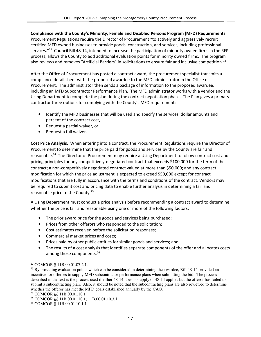#### Compliance with the County's Minority, Female and Disabled Persons Program (MFD) Requirements.

Procurement Regulations require the Director of Procurement "to actively and aggressively recruit certified MFD owned businesses to provide goods, construction, and services, including professional services."<sup>22</sup> Council Bill 48-14, intended to increase the participation of minority owned firms in the RFP process, allows the County to add additional evaluation points for minority owned firms. The program also reviews and removes "Artificial Barriers" in solicitations to ensure fair and inclusive competition.<sup>23</sup>

After the Office of Procurement has posted a contract award, the procurement specialist transmits a compliance detail sheet with the proposed awardee to the MFD administrator in the Office of Procurement. The administrator then sends a package of information to the proposed awardee, including an MFD Subcontractor Performance Plan. The MFD administrator works with a vendor and the Using Department to complete the plan during the contract negotiation phase. The Plan gives a primary contractor three options for complying with the County's MFD requirement:

- Identify the MFD businesses that will be used and specify the services, dollar amounts and percent of the contract cost,
- Request a partial waiver, or
- Request a full waiver.

Cost Price Analysis. When entering into a contract, the Procurement Regulations require the Director of Procurement to determine that the price paid for goods and services by the County are fair and reasonable.<sup>24</sup> The Director of Procurement may require a Using Department to follow contract cost and pricing principles for any competitively-negotiated contract that exceeds \$100,000 for the term of the contract; a non-competitively negotiated contract valued at more than \$50,000; and any contract modification for which the price adjustment is expected to exceed \$50,000 except for contract modifications that are fully in accordance with the terms and conditions of the contract. Vendors may be required to submit cost and pricing data to enable further analysis in determining a fair and reasonable price to the County.<sup>25</sup>

A Using Department must conduct a price analysis before recommending a contract award to determine whether the price is fair and reasonable using one or more of the following factors:

- The prior award price for the goods and services being purchased;
- Prices from other offerors who responded to the solicitation;
- Cost estimates received before the solicitation responses;
- Commercial market prices and costs;
- Prices paid by other public entities for similar goods and services; and
- The results of a cost analysis that identifies separate components of the offer and allocates costs among those components.<sup>26</sup>

 $\overline{a}$ 

<sup>22</sup> COMCOR § 11B.00.01.07.2.1.

<sup>&</sup>lt;sup>23</sup> By providing evaluation points which can be considered in determining the awardee, Bill 48-14 provided an incentive for offerors to supply MFD subcontractor performance plans when submitting the bid. The process described in the text is the process used if either 48-14 does not apply or 48-14 applies but the offeror has failed to submit a subcontracting plan. Also, it should be noted that the subcontracting plans are also reviewed to determine whether the offeror has met the MFD goals established annually by the CAO.

<sup>24</sup> COMCOR §§ 11B.00.01.10.1.

<sup>25</sup> COMCOR §§ 11B.00.01.10.1; 11B.00.01.10.3.1.

<sup>26</sup> COMCOR § 11B.00.01.10.1.1.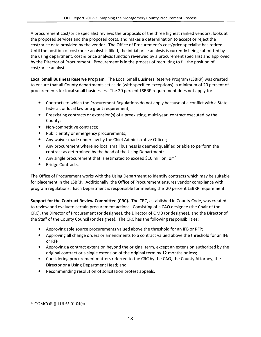A procurement cost/price specialist reviews the proposals of the three highest ranked vendors, looks at the proposed services and the proposed costs, and makes a determination to accept or reject the cost/price data provided by the vendor. The Office of Procurement's cost/price specialist has retired. Until the position of cost/price analyst is filled, the initial price analysis is currently being submitted by the using department, cost & price analysis function reviewed by a procurement specialist and approved by the Director of Procurement. Procurement is in the process of recruiting to fill the position of cost/price analyst.

Local Small Business Reserve Program. The Local Small Business Reserve Program (LSBRP) was created to ensure that all County departments set aside (with specified exceptions), a minimum of 20 percent of procurements for local small businesses. The 20 percent LSBRP requirement does not apply to:

- Contracts to which the Procurement Regulations do not apply because of a conflict with a State, federal, or local law or a grant requirement;
- Preexisting contracts or extension(s) of a preexisting, multi-year, contract executed by the County;
- Non-competitive contracts;
- Public entity or emergency procurements;
- Any waiver made under law by the Chief Administrative Officer;
- Any procurement where no local small business is deemed qualified or able to perform the contract as determined by the head of the Using Department;
- Any single procurement that is estimated to exceed \$10 million; or<sup>27</sup>
- Bridge Contracts.

The Office of Procurement works with the Using Department to identify contracts which may be suitable for placement in the LSBRP. Additionally, the Office of Procurement ensures vendor compliance with program regulations. Each Department is responsible for meeting the 20 percent LSBRP requirement.

Support for the Contract Review Committee (CRC). The CRC, established in County Code, was created to review and evaluate certain procurement actions. Consisting of a CAO designee (the Chair of the CRC), the Director of Procurement (or designee), the Director of OMB (or designee), and the Director of the Staff of the County Council (or designee). The CRC has the following responsibilities:

- Approving sole source procurements valued above the threshold for an IFB or RFP;
- Approving all change orders or amendments to a contract valued above the threshold for an IFB or RFP;
- Approving a contract extension beyond the original term, except an extension authorized by the original contract or a single extension of the original term by 12 months or less;
- Considering procurement matters referred to the CRC by the CAO, the County Attorney, the Director or a Using Department Head; and
- Recommending resolution of solicitation protest appeals.

 $\overline{\phantom{0}}$ 27 COMCOR § 11B.65.01.04(c).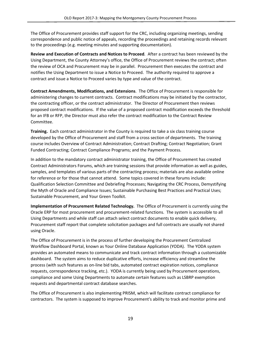The Office of Procurement provides staff support for the CRC, including organizing meetings, sending correspondence and public notice of appeals, recording the proceedings and retaining records relevant to the proceedings (e.g. meeting minutes and supporting documentation).

Review and Execution of Contracts and Notices to Proceed. After a contract has been reviewed by the Using Department, the County Attorney's office, the Office of Procurement reviews the contract; often the review of OCA and Procurement may be in parallel. Procurement then executes the contract and notifies the Using Department to issue a Notice to Proceed. The authority required to approve a contract and issue a Notice to Proceed varies by type and value of the contract.

Contract Amendments, Modifications, and Extensions. The Office of Procurement is responsible for administering changes to current contracts. Contract modifications may be initiated by the contractor, the contracting officer, or the contract administrator. The Director of Procurement then reviews proposed contract modifications. If the value of a proposed contract modification exceeds the threshold for an IFB or RFP, the Director must also refer the contract modification to the Contract Review Committee.

Training. Each contract administrator in the County is required to take a six class training course developed by the Office of Procurement and staff from a cross section of departments. The training course includes Overview of Contract Administration; Contract Drafting; Contract Negotiation; Grant Funded Contracting; Contract Compliance Programs; and the Payment Process.

In addition to the mandatory contract administrator training, the Office of Procurement has created Contract Administrators Forums, which are training sessions that provide information as well as guides, samples, and templates of various parts of the contracting process; materials are also available online for reference or for those that cannot attend. Some topics covered in these forums include: Qualification Selection Committee and Debriefing Processes; Navigating the CRC Process, Demystifying the Myth of Oracle and Compliance Issues; Sustainable Purchasing Best Practices and Practical Uses; Sustainable Procurement, and Your Green Toolkit.

Implementation of Procurement Related Technology. The Office of Procurement is currently using the Oracle ERP for most procurement and procurement-related functions. The system is accessible to all Using Departments and while staff can attach select contract documents to enable quick delivery, Procurement staff report that complete solicitation packages and full contracts are usually not shared using Oracle.

The Office of Procurement is in the process of further developing the Procurement Centralized Workflow Dashboard Portal, known as Your Online Database Application (YODA). The YODA system provides an automated means to communicate and track contract information through a customizable dashboard. The system aims to reduce duplicative efforts, increase efficiency and streamline the process (with such features as on-line bid tabs, automated contract expiration notices, compliance requests, correspondence tracking, etc.). YODA is currently being used by Procurement operations, compliance and some Using Departments to automate certain features such as LSBRP exemption requests and departmental contract database searches.

The Office of Procurement is also implementing PRISM, which will facilitate contract compliance for contractors. The system is supposed to improve Procurement's ability to track and monitor prime and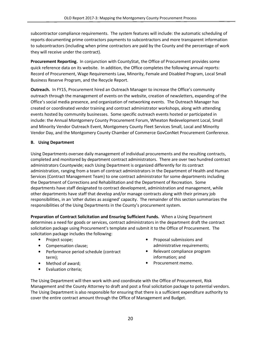subcontractor compliance requirements. The system features will include: the automatic scheduling of reports documenting prime contractors payments to subcontractors and more transparent information to subcontractors (including when prime contractors are paid by the County and the percentage of work they will receive under the contract).

Procurement Reporting. In conjunction with CountyStat, the Office of Procurement provides some quick reference data on its website. In addition, the Office completes the following annual reports: Record of Procurement, Wage Requirements Law, Minority, Female and Disabled Program, Local Small Business Reserve Program, and the Recycle Report.

**Outreach.** In FY15, Procurement hired an Outreach Manager to increase the Office's community outreach through the management of events on the website, creation of newsletters, expanding of the Office's social media presence, and organization of networking events. The Outreach Manager has created or coordinated vendor training and contract administrator workshops, along with attending events hosted by community businesses. Some specific outreach events hosted or participated in include: the Annual Montgomery County Procurement Forum, Wheaton Redevelopment Local, Small and Minority Vendor Outreach Event, Montgomery County Fleet Services Small, Local and Minority Vendor Day, and the Montgomery County Chamber of Commerce GovConNet Procurement Conference.

#### B. Using Department

Using Departments oversee daily management of individual procurements and the resulting contracts, completed and monitored by department contract administrators. There are over two hundred contract administrators Countywide; each Using Department is organized differently for its contract administration, ranging from a team of contract administrators in the Department of Health and Human Services (Contract Management Team) to one contract administrator for some departments including the Department of Corrections and Rehabilitation and the Department of Recreation. Some departments have staff designated to contract development, administration and management, while other departments have staff that develop and/or manage contracts along with their primary job responsibilities, in an 'other duties as assigned' capacity. The remainder of this section summarizes the responsibilities of the Using Departments in the County's procurement system.

Preparation of Contract Solicitation and Ensuring Sufficient Funds. When a Using Department determines a need for goods or services, contract administrators in the department draft the contract solicitation package using Procurement's template and submit it to the Office of Procurement. The solicitation package includes the following:

- Project scope;
- Compensation clause;
- Performance period schedule (contract term);
- Method of award;
- Evaluation criteria;
- Proposal submissions and administrative requirements;
- Relevant compliance program information; and
- Procurement memo.

The Using Department will then work with and coordinate with the Office of Procurement, Risk Management and the County Attorney to draft and post a final solicitation package to potential vendors. The Using Department is also responsible for ensuring that there is a sufficient expenditure authority to cover the entire contract amount through the Office of Management and Budget.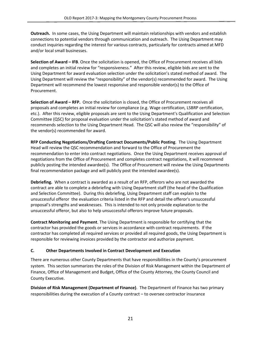**Outreach.** In some cases, the Using Department will maintain relationships with vendors and establish connections to potential vendors through communication and outreach. The Using Department may conduct inquiries regarding the interest for various contracts, particularly for contracts aimed at MFD and/or local small businesses.

Selection of Award – IFB. Once the solicitation is opened, the Office of Procurement receives all bids and completes an initial review for "responsiveness." After this review, eligible bids are sent to the Using Department for award evaluation selection under the solicitation's stated method of award. The Using Department will review the "responsibility" of the vendor(s) recommended for award. The Using Department will recommend the lowest responsive and responsible vendor(s) to the Office of Procurement.

Selection of Award – RFP. Once the solicitation is closed, the Office of Procurement receives all proposals and completes an initial review for compliance (e.g. Wage certification, LSBRP certification, etc.). After this review, eligible proposals are sent to the Using Department's Qualification and Selection Committee (QSC) for proposal evaluation under the solicitation's stated method of award and recommends selection to the Using Department Head. The QSC will also review the "responsibility" of the vendor(s) recommended for award.

RFP Conducting Negotiations/Drafting Contract Documents/Public Posting. The Using Department Head will review the QSC recommendation and forward to the Office of Procurement the recommendation to enter into contract negotiations. Once the Using Department receives approval of negotiations from the Office of Procurement and completes contract negotiations, it will recommend publicly posting the intended awardee(s). The Office of Procurement will review the Using Departments final recommendation package and will publicly post the intended awardee(s).

Debriefing. When a contract is awarded as a result of an RFP, offerors who are not awarded the contract are able to complete a debriefing with Using Department staff (the head of the Qualification and Selection Committee). During this debriefing, Using Department staff can explain to the unsuccessful offeror the evaluation criteria listed in the RFP and detail the offeror's unsuccessful proposal's strengths and weaknesses. This is intended to not only provide explanation to the unsuccessful offeror, but also to help unsuccessful offerors improve future proposals.

Contract Monitoring and Payment. The Using Department is responsible for certifying that the contractor has provided the goods or services in accordance with contract requirements. If the contractor has completed all required services or provided all required goods, the Using Department is responsible for reviewing invoices provided by the contractor and authorize payment.

#### C. Other Departments Involved in Contract Development and Execution

There are numerous other County Departments that have responsibilities in the County's procurement system. This section summarizes the roles of the Division of Risk Management within the Department of Finance, Office of Management and Budget, Office of the County Attorney, the County Council and County Executive.

Division of Risk Management (Department of Finance). The Department of Finance has two primary responsibilities during the execution of a County contract – to oversee contractor insurance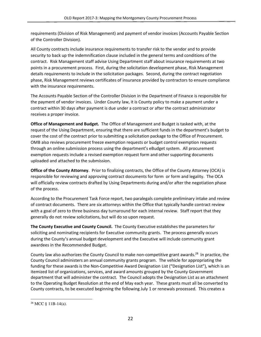requirements (Division of Risk Management) and payment of vendor invoices (Accounts Payable Section of the Controller Division).

All County contracts include insurance requirements to transfer risk to the vendor and to provide security to back up the indemnification clause included in the general terms and conditions of the contract. Risk Management staff advise Using Department staff about insurance requirements at two points in a procurement process. First, during the solicitation development phase, Risk Management details requirements to include in the solicitation packages. Second, during the contract negotiation phase, Risk Management reviews certificates of insurance provided by contractors to ensure compliance with the insurance requirements.

The Accounts Payable Section of the Controller Division in the Department of Finance is responsible for the payment of vendor invoices. Under County law, it is County policy to make a payment under a contract within 30 days after payment is due under a contract or after the contract administrator receives a proper invoice.

Office of Management and Budget. The Office of Management and Budget is tasked with, at the request of the Using Department, ensuring that there are sufficient funds in the department's budget to cover the cost of the contract prior to submitting a solicitation package to the Office of Procurement. OMB also reviews procurement freeze exemption requests or budget control exemption requests through an online submission process using the department's eBudget system. All procurement exemption requests include a revised exemption request form and other supporting documents uploaded and attached to the submission.

Office of the County Attorney. Prior to finalizing contracts, the Office of the County Attorney (OCA) is responsible for reviewing and approving contract documents for form or form and legality. The OCA will officially review contracts drafted by Using Departments during and/or after the negotiation phase of the process.

According to the Procurement Task Force report, two paralegals complete preliminary intake and review of contract documents. There are six attorneys within the Office that typically handle contract review with a goal of zero to three business day turnaround for each internal review. Staff report that they generally do not review solicitations, but will do so upon request.

The County Executive and County Council. The County Executive establishes the parameters for soliciting and nominating recipients for Executive community grants. The process generally occurs during the County's annual budget development and the Executive will include community grant awardees in the Recommended Budget.

County law also authorizes the County Council to make non-competitive grant awards.<sup>28</sup> In practice, the County Council administers an annual community grants program. The vehicle for appropriating the funding for these awards is the Non-Competitive Award Designation List ("Designation List"), which is an itemized list of organizations, services, and award amounts grouped by the County Government department that will administer the contract. The Council adopts the Designation List as an attachment to the Operating Budget Resolution at the end of May each year. These grants must all be converted to County contracts, to be executed beginning the following July 1 or renewals processed. This creates a

  $28$  MCC § 11B-14(a).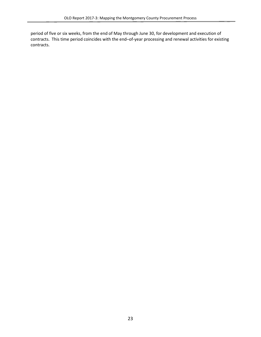period of five or six weeks, from the end of May through June 30, for development and execution of contracts. This time period coincides with the end–of-year processing and renewal activities for existing contracts.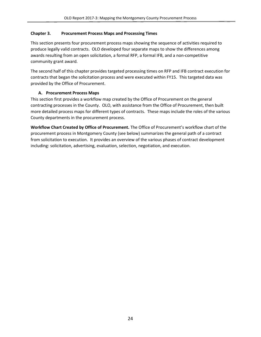### Chapter 3. Procurement Process Maps and Processing Times

This section presents four procurement process maps showing the sequence of activities required to produce legally valid contracts. OLO developed four separate maps to show the differences among awards resulting from an open solicitation, a formal RFP, a formal IFB, and a non-competitive community grant award.

The second half of this chapter provides targeted processing times on RFP and IFB contract execution for contracts that began the solicitation process and were executed within FY15. This targeted data was provided by the Office of Procurement.

#### A. Procurement Process Maps

This section first provides a workflow map created by the Office of Procurement on the general contracting processes in the County. OLO, with assistance from the Office of Procurement, then built more detailed process maps for different types of contracts. These maps include the roles of the various County departments in the procurement process.

Workflow Chart Created by Office of Procurement. The Office of Procurement's workflow chart of the procurement process in Montgomery County (see below) summarizes the general path of a contract from solicitation to execution. It provides an overview of the various phases of contract development including: solicitation, advertising, evaluation, selection, negotiation, and execution.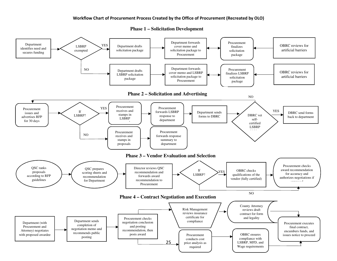#### Workflow Chart of Procurement Process Created by the Office of Procurement (Recreated by OLO)



**Phase 1 – Solicitation Development**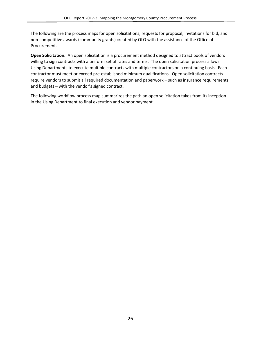The following are the process maps for open solicitations, requests for proposal, invitations for bid, and non-competitive awards (community grants) created by OLO with the assistance of the Office of Procurement.

Open Solicitation. An open solicitation is a procurement method designed to attract pools of vendors willing to sign contracts with a uniform set of rates and terms. The open solicitation process allows Using Departments to execute multiple contracts with multiple contractors on a continuing basis. Each contractor must meet or exceed pre-established minimum qualifications. Open solicitation contracts require vendors to submit all required documentation and paperwork – such as insurance requirements and budgets – with the vendor's signed contract.

The following workflow process map summarizes the path an open solicitation takes from its inception in the Using Department to final execution and vendor payment.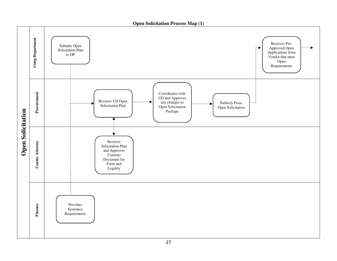**Open Solicitation Process Map (1)** 

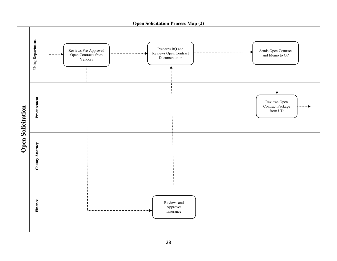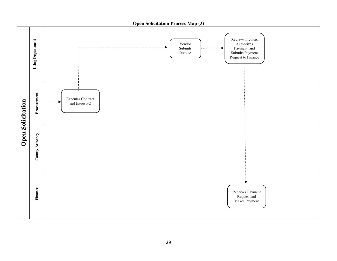

**Open Solicitation Process Map (3)**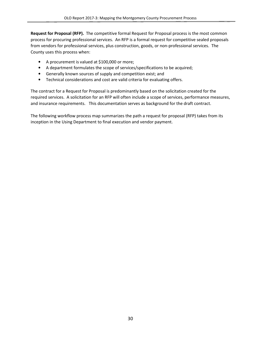Request for Proposal (RFP). The competitive formal Request for Proposal process is the most common process for procuring professional services. An RFP is a formal request for competitive sealed proposals from vendors for professional services, plus construction, goods, or non-professional services. The County uses this process when:

- A procurement is valued at \$100,000 or more;
- A department formulates the scope of services/specifications to be acquired;
- Generally known sources of supply and competition exist; and
- Technical considerations and cost are valid criteria for evaluating offers.

The contract for a Request for Proposal is predominantly based on the solicitation created for the required services. A solicitation for an RFP will often include a scope of services, performance measures, and insurance requirements. This documentation serves as background for the draft contract.

The following workflow process map summarizes the path a request for proposal (RFP) takes from its inception in the Using Department to final execution and vendor payment.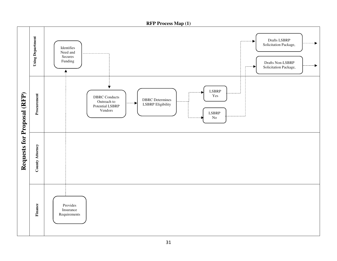**RFP Process Map (1)** 

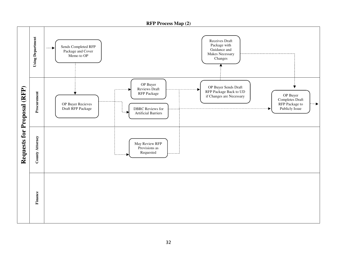**RFP Process Map (2) Using Department Using Department**  Receives Draft Package with Sends Completed RFP -b  $\sim$   $\sim$  Guidance and Package and Cover Makes Necessary Memo to OP Changes OP Buyer **Requests for Proposal (RFP)**  OP Buyer Sends Draft  $\bigstar$ Requests for Proposal (RFP) Reviews Draft RFP Package Back to UD Procurement **Procurement** County Attorney Procurement RFP Package OP Buyer if Changes are Necessary Completes Draft OP Buyer Recieves RFP Package to DBRC Reviews for Publicly Issue Draft RFP Package Artificial Barriers County Attorney May Review RFP Provisions as Requested Finance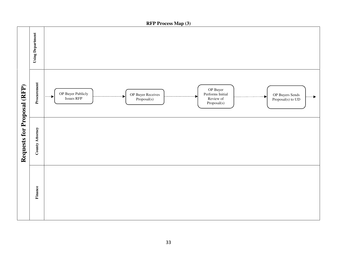

**RFP Process Map (3)**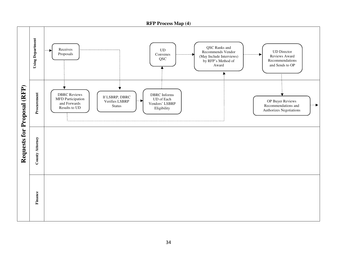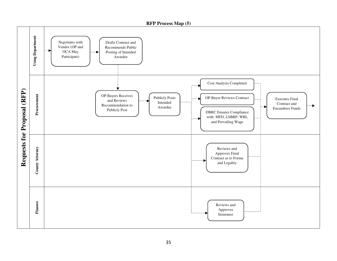**RFP Process Map (5)** 

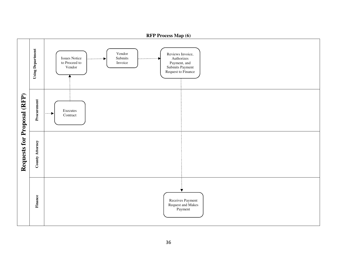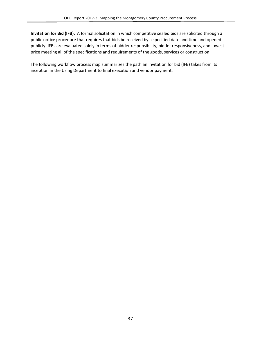Invitation for Bid (IFB). A formal solicitation in which competitive sealed bids are solicited through a public notice procedure that requires that bids be received by a specified date and time and opened publicly. IFBs are evaluated solely in terms of bidder responsibility, bidder responsiveness, and lowest price meeting all of the specifications and requirements of the goods, services or construction.

The following workflow process map summarizes the path an invitation for bid (IFB) takes from its inception in the Using Department to final execution and vendor payment.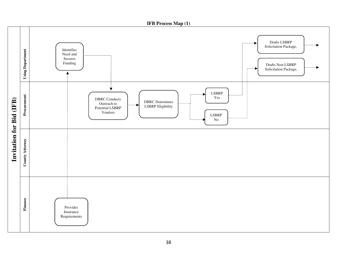**IFB Process Map (1)** 

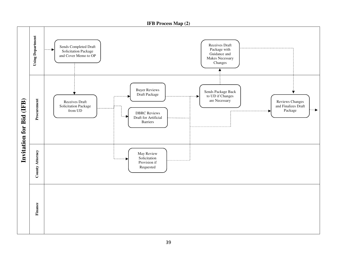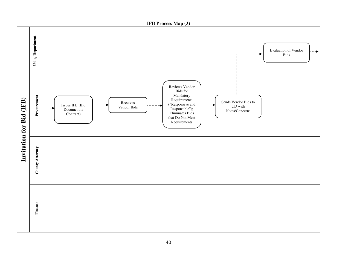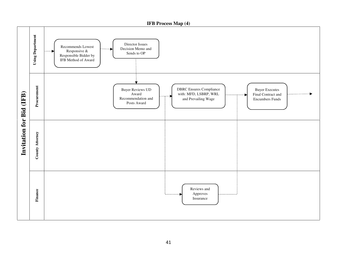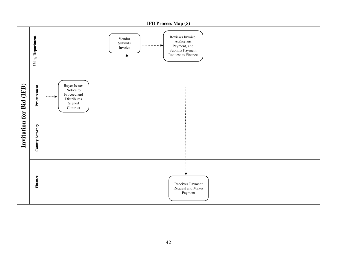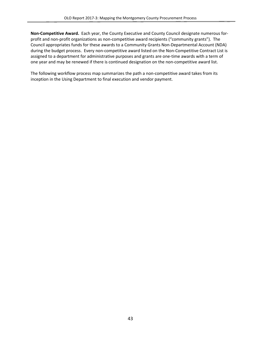Non-Competitive Award. Each year, the County Executive and County Council designate numerous forprofit and non-profit organizations as non-competitive award recipients ("community grants"). The Council appropriates funds for these awards to a Community Grants Non-Departmental Account (NDA) during the budget process. Every non-competitive award listed on the Non-Competitive Contract List is assigned to a department for administrative purposes and grants are one-time awards with a term of one year and may be renewed if there is continued designation on the non-competitive award list.

The following workflow process map summarizes the path a non-competitive award takes from its inception in the Using Department to final execution and vendor payment.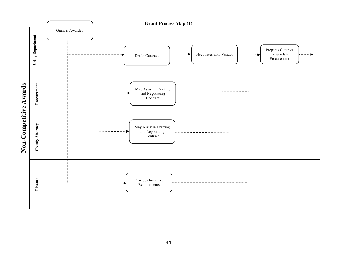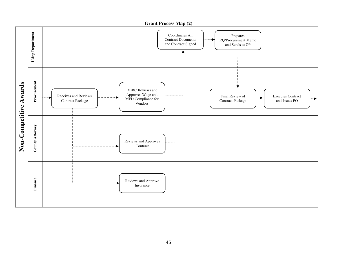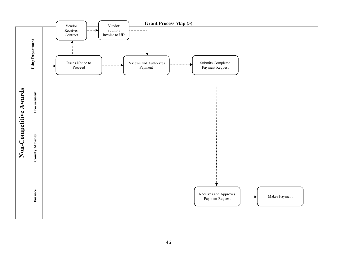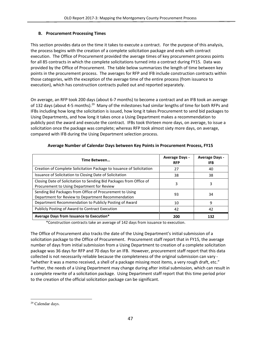### B. Procurement Processing Times

This section provides data on the time it takes to execute a contract. For the purpose of this analysis, the process begins with the creation of a complete solicitation package and ends with contract execution. The Office of Procurement provided the average times of key procurement process points for all 85 contracts in which the complete solicitations turned into a contract during FY15. Data was provided by the Office of Procurement. The table below summarizes the length of time between key points in the procurement process. The averages for RFP and IFB include construction contracts within those categories, with the exception of the average time of the entire process (from issuance to execution), which has construction contracts pulled out and reported separately.

On average, an RFP took 200 days (about 6-7 months) to become a contract and an IFB took an average of 132 days (about 4-5 months).<sup>29</sup> Many of the milestones had similar lengths of time for both RFPs and IFBs including how long the solicitation is issued, how long it takes Procurement to send bid packages to Using Departments, and how long it takes once a Using Department makes a recommendation to publicly post the award and execute the contract. IFBs took thirteen more days, on average, to issue a solicitation once the package was complete; whereas RFP took almost sixty more days, on average, compared with IFB during the Using Department selection process.

| Time Between                                                                                                      | <b>Average Days -</b><br><b>RFP</b> | <b>Average Days -</b><br>IFB |
|-------------------------------------------------------------------------------------------------------------------|-------------------------------------|------------------------------|
| Creation of Complete Solicitation Package to Issuance of Solicitation                                             | 27                                  | 40                           |
| Issuance of Solicitation to Closing Date of Solicitation                                                          | 38                                  | 38                           |
| Closing Date of Solicitation to Sending Bid Packages from Office of<br>Procurement to Using Department for Review | 3                                   | 3                            |
| Sending Bid Packages from Office of Procurement to Using<br>Department for Review to Department Recommendation    | 93                                  | 34                           |
| Department Recommendation to Publicly Posting of Award                                                            | 10                                  | 9                            |
| Publicly Posting of Award to Contract Execution                                                                   | 42                                  | 42                           |
| Average Days from Issuance to Execution*                                                                          | 200                                 | 132                          |

## Average Number of Calendar Days between Key Points in Procurement Process, FY15

\*Construction contracts take an average of 142 days from issuance to execution.

The Office of Procurement also tracks the date of the Using Department's initial submission of a solicitation package to the Office of Procurement. Procurement staff report that in FY15, the average number of days from initial submission from a Using Department to creation of a complete solicitation package was 36 days for RFP and 70 days for an IFB. However, procurement staff report that this data collected is not necessarily reliable because the completeness of the original submission can vary - "whether it was a memo received, a shell of a package missing most items, a very rough draft, etc." Further, the needs of a Using Department may change during after initial submission, which can result in a complete rewrite of a solicitation package. Using Department staff report that this time period prior to the creation of the official solicitation package can be significant.

 $\overline{\phantom{0}}$ 

<sup>29</sup> Calendar days.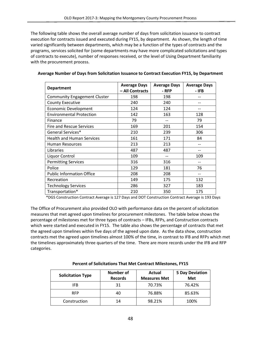The following table shows the overall average number of days from solicitation issuance to contract execution for contracts issued and executed during FY15, by department. As shown, the length of time varied significantly between departments, which may be a function of the types of contracts and the programs, services solicited for (some departments may have more complicated solicitations and types of contracts to execute), number of responses received, or the level of Using Department familiarity with the procurement process.

| <b>Department</b>                   | <b>Average Days</b><br>- All Contracts | <b>Average Days</b><br>- RFP | <b>Average Days</b><br>- IFB |
|-------------------------------------|----------------------------------------|------------------------------|------------------------------|
| <b>Community Engagement Cluster</b> | 198                                    | 198                          |                              |
| <b>County Executive</b>             | 240                                    | 240                          |                              |
| <b>Economic Development</b>         | 124                                    | 124                          |                              |
| <b>Environmental Protection</b>     | 142                                    | 163                          | 128                          |
| Finance                             | 79                                     |                              | 79                           |
| Fire and Rescue Services            | 169                                    | 201                          | 154                          |
| General Services*                   | 210                                    | 239                          | 306                          |
| <b>Health and Human Services</b>    | 161                                    | 171                          | 84                           |
| <b>Human Resources</b>              | 213                                    | 213                          |                              |
| Libraries                           | 487                                    | 487                          |                              |
| Liquor Control                      | 109                                    |                              | 109                          |
| <b>Permitting Services</b>          | 316                                    | 316                          | --                           |
| Police                              | 129                                    | 181                          | 76                           |
| <b>Public Information Office</b>    | 208                                    | 208                          |                              |
| Recreation                          | 149                                    | 175                          | 132                          |
| <b>Technology Services</b>          | 286                                    | 327                          | 183                          |
| Transportation*                     | 210                                    | 350                          | 175                          |

#### Average Number of Days from Solicitation Issuance to Contract Execution FY15, by Department

\*DGS Construction Contract Average is 127 Days and DOT Construction Contract Average is 193 Days

The Office of Procurement also provided OLO with performance data on the percent of solicitation measures that met agreed upon timelines for procurement milestones. The table below shows the percentage of milestones met for three types of contracts – IFBs, RFPs, and Construction contracts which were started and executed in FY15. The table also shows the percentage of contracts that met the agreed upon timelines within five days of the agreed upon date. As the data show, construction contracts met the agreed upon timelines almost 100% of the time, in contrast to IFB and RFPs which met the timelines approximately three quarters of the time. There are more records under the IFB and RFP categories.

| <b>Solicitation Type</b> | <b>Number of</b><br><b>Records</b> | Actual<br><b>Measures Met</b> | <b>5 Day Deviation</b><br>Met |
|--------------------------|------------------------------------|-------------------------------|-------------------------------|
| IFB.                     | 31                                 | 70.73%                        | 76.42%                        |
| <b>RFP</b>               | 40                                 | 76.88%                        | 85.63%                        |
| Construction             | 14                                 | 98.21%                        | 100%                          |

#### Percent of Solicitations That Met Contract Milestones, FY15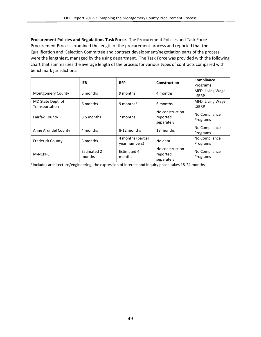Procurement Policies and Regulations Task Force. The Procurement Policies and Task Force Procurement Process examined the length of the procurement process and reported that the Qualification and Selection Committee and contract development/negotiation parts of the process were the lengthiest, managed by the using department. The Task Force was provided with the following chart that summarizes the average length of the process for various types of contracts compared with benchmark jurisdictions.

|                                     | <b>IFB</b>                   | <b>RFP</b>                         | <b>Construction</b>                       | Compliance<br><b>Programs</b>     |
|-------------------------------------|------------------------------|------------------------------------|-------------------------------------------|-----------------------------------|
| <b>Montgomery County</b>            | 5 months                     | 9 months                           | 4 months                                  | MFD, Living Wage,<br><b>LSBRP</b> |
| MD State Dept. of<br>Transportation | 6 months                     | 9 months*                          | 6 months                                  | MFD, Living Wage,<br><b>LSBRP</b> |
| <b>Fairfax County</b>               | 3.5 months                   | 7 months                           | No construction<br>reported<br>separately | No Compliance<br>Programs         |
| Anne Arundel County                 | 4 months                     | 8-12 months                        | 18 months                                 | No Compliance<br>Programs         |
| <b>Frederick County</b>             | 3 months                     | 4 months (partial<br>year numbers) | No data                                   | No Compliance<br>Programs         |
| M-NCPPC                             | <b>Estimated 2</b><br>months | Estimated 4<br>months              | No construction<br>reported<br>separately | No Compliance<br>Programs         |

\*Includes architecture/engineering, the expression of interest and inquiry phase takes 18-24 months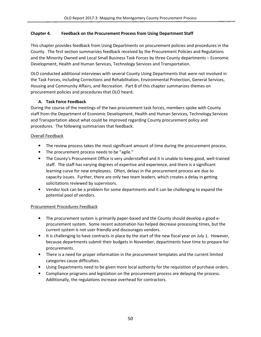### Chapter 4. Feedback on the Procurement Process from Using Department Staff

This chapter provides feedback from Using Departments on procurement policies and procedures in the County. The first section summarizes feedback received by the Procurement Policies and Regulations and the Minority Owned and Local Small Business Task Forces by three County departments – Economic Development, Health and Human Services, Technology Services and Transportation.

OLO conducted additional interviews with several County Using Departments that were not involved in the Task Forces, including Corrections and Rehabilitation, Environmental Protection, General Services, Housing and Community Affairs, and Recreation. Part B of this chapter summarizes themes on procurement policies and procedures that OLO heard.

## A. Task Force Feedback

During the course of the meetings of the two procurement task forces, members spoke with County staff from the Department of Economic Development, Health and Human Services, Technology Services and Transportation about what could be improved regarding County procurement policy and procedures. The following summarizes that feedback.

## Overall Feedback

- The review process takes the most significant amount of time during the procurement process.
- The procurement process needs to be "agile."
- The County's Procurement Office is very understaffed and it is unable to keep good, well-trained staff. The staff has varying degrees of expertise and experience, and there is a significant learning curve for new employees. Often, delays in the procurement process are due to capacity issues. Further, there are only two team leaders, which creates a delay in getting solicitations reviewed by supervisors.
- Vendor lock can be a problem for some departments and it can be challenging to expand the potential pool of vendors.

#### Procurement Procedures Feedback

- The procurement system is primarily paper-based and the County should develop a good eprocurement system. Some recent automation has helped decrease processing times, but the current system is not user friendly and discourages vendors.
- It is challenging to have contracts in place by the start of the new fiscal year on July 1. However, because departments submit their budgets in November, departments have time to prepare for procurements.
- There is a need for proper information in the procurement templates and the current limited categories cause difficulties.
- Using Departments need to be given more local authority for the requisition of purchase orders.
- Compliance programs and legislation on the procurement process are delaying the process. Additionally, the regulations increase overhead for contractors.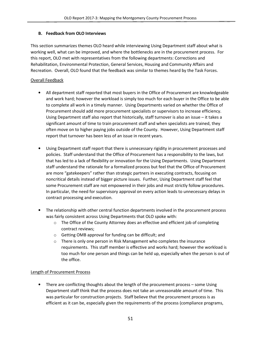# B. Feedback from OLO Interviews

This section summarizes themes OLO heard while interviewing Using Department staff about what is working well, what can be improved, and where the bottlenecks are in the procurement process. For this report, OLO met with representatives from the following departments: Corrections and Rehabilitation, Environmental Protection, General Services, Housing and Community Affairs and Recreation. Overall, OLO found that the feedback was similar to themes heard by the Task Forces.

# Overall Feedback

- All department staff reported that most buyers in the Office of Procurement are knowledgeable and work hard; however the workload is simply too much for each buyer in the Office to be able to complete all work in a timely manner. Using Departments varied on whether the Office of Procurement should add more procurement specialists or supervisors to increase efficiency. Using Department staff also report that historically, staff turnover is also an issue – it takes a significant amount of time to train procurement staff and when specialists are trained, they often move on to higher paying jobs outside of the County. However, Using Department staff report that turnover has been less of an issue in recent years.
- Using Department staff report that there is unnecessary rigidity in procurement processes and policies. Staff understand that the Office of Procurement has a responsibility to the laws, but that has led to a lack of flexibility or innovation for the Using Departments. Using Department staff understand the rationale for a formalized process but feel that the Office of Procurement are more "gatekeepers" rather than strategic partners in executing contracts, focusing on noncritical details instead of bigger picture issues. Further, Using Department staff feel that some Procurement staff are not empowered in their jobs and must strictly follow procedures. In particular, the need for supervisory approval on every action leads to unnecessary delays in contract processing and execution.
- The relationship with other central function departments involved in the procurement process was fairly consistent across Using Departments that OLO spoke with:
	- $\circ$  The Office of the County Attorney does an effective and efficient job of completing contract reviews;
	- o Getting OMB approval for funding can be difficult; and
	- o There is only one person in Risk Management who completes the insurance requirements. This staff member is effective and works hard; however the workload is too much for one person and things can be held up, especially when the person is out of the office.

#### Length of Procurement Process

• There are conflicting thoughts about the length of the procurement process – some Using Department staff think that the process does not take an unreasonable amount of time. This was particular for construction projects. Staff believe that the procurement process is as efficient as it can be, especially given the requirements of the process (compliance programs,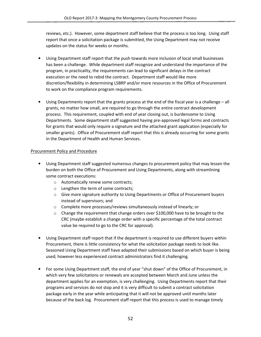reviews, etc.). However, some department staff believe that the process is too long. Using staff report that once a solicitation package is submitted, the Using Department may not receive updates on the status for weeks or months.

- Using Department staff report that the push towards more inclusion of local small businesses has been a challenge. While department staff recognize and understand the importance of the program, in practicality, the requirements can lead to significant delays in the contract execution or the need to rebid the contract. Department staff would like more discretion/flexibility in determining LSBRP and/or more resources in the Office of Procurement to work on the compliance program requirements.
- Using Departments report that the grants process at the end of the fiscal year is a challenge all grants, no matter how small, are required to go through the entire contract development process. This requirement, coupled with end of year closing out, is burdensome to Using Departments. Some department staff suggested having pre-approved legal forms and contracts for grants that would only require a signature and the attached grant application (especially for smaller grants). Office of Procurement staff report that this is already occurring for some grants in the Department of Health and Human Services.

#### Procurement Policy and Procedure

- Using Department staff suggested numerous changes to procurement policy that may lessen the burden on both the Office of Procurement and Using Departments, along with streamlining some contract executions:
	- o Automatically renew some contracts;
	- o Lengthen the term of some contracts;
	- $\circ$  Give more signature authority to Using Departments or Office of Procurement buyers instead of supervisors; and
	- o Complete more processes/reviews simultaneously instead of linearly; or
	- $\circ$  Change the requirement that change orders over \$100,000 have to be brought to the CRC (maybe establish a change order with a specific percentage of the total contract value be required to go to the CRC for approval).
- Using Department staff report that if the department is required to use different buyers within Procurement, there is little consistency for what the solicitation package needs to look like. Seasoned Using Department staff have adapted their submissions based on which buyer is being used; however less experienced contract administrators find it challenging.
- For some Using Department staff, the end of year "shut down" of the Office of Procurement, in which very few solicitations or renewals are accepted between March and June unless the department applies for an exemption, is very challenging. Using Departments report that their programs and services do not stop and it is very difficult to submit a contract solicitation package early in the year while anticipating that it will not be approved until months later because of the back log. Procurement staff report that this process is used to manage timely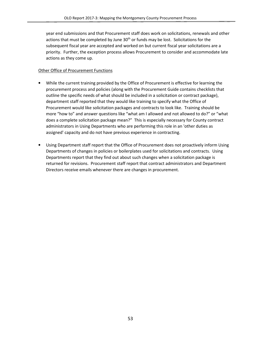year end submissions and that Procurement staff does work on solicitations, renewals and other actions that must be completed by June  $30<sup>th</sup>$  or funds may be lost. Solicitations for the subsequent fiscal year are accepted and worked on but current fiscal year solicitations are a priority. Further, the exception process allows Procurement to consider and accommodate late actions as they come up.

#### Other Office of Procurement Functions

- While the current training provided by the Office of Procurement is effective for learning the procurement process and policies (along with the Procurement Guide contains checklists that outline the specific needs of what should be included in a solicitation or contract package), department staff reported that they would like training to specify what the Office of Procurement would like solicitation packages and contracts to look like. Training should be more "how to" and answer questions like "what am I allowed and not allowed to do?" or "what does a complete solicitation package mean?" This is especially necessary for County contract administrators in Using Departments who are performing this role in an 'other duties as assigned' capacity and do not have previous experience in contracting.
- Using Department staff report that the Office of Procurement does not proactively inform Using Departments of changes in policies or boilerplates used for solicitations and contracts. Using Departments report that they find out about such changes when a solicitation package is returned for revisions. Procurement staff report that contract administrators and Department Directors receive emails whenever there are changes in procurement.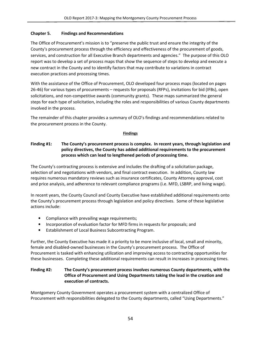#### Chapter 5. Findings and Recommendations

The Office of Procurement's mission is to "preserve the public trust and ensure the integrity of the County's procurement process through the efficiency and effectiveness of the procurement of goods, services, and construction for all Executive Branch departments and agencies." The purpose of this OLO report was to develop a set of process maps that show the sequence of steps to develop and execute a new contract in the County and to identify factors that may contribute to variations in contract execution practices and processing times.

With the assistance of the Office of Procurement, OLO developed four process maps (located on pages 26-46) for various types of procurements – requests for proposals (RFPs), invitations for bid (IFBs), open solicitations, and non-competitive awards (community grants). These maps summarized the general steps for each type of solicitation, including the roles and responsibilities of various County departments involved in the process.

The remainder of this chapter provides a summary of OLO's findings and recommendations related to the procurement process in the County.

#### **Findings**

## Finding #1: The County's procurement process is complex. In recent years, through legislation and policy directives, the County has added additional requirements to the procurement process which can lead to lengthened periods of processing time.

The County's contracting process is extensive and includes the drafting of a solicitation package, selection of and negotiations with vendors, and final contract execution. In addition, County law requires numerous mandatory reviews such as insurance certificates, County Attorney approval, cost and price analysis, and adherence to relevant compliance programs (i.e. MFD, LSBRP, and living wage).

In recent years, the County Council and County Executive have established additional requirements onto the County's procurement process through legislation and policy directives. Some of these legislative actions include:

- Compliance with prevailing wage requirements;
- Incorporation of evaluation factor for MFD firms in requests for proposals; and
- Establishment of Local Business Subcontracting Program.

Further, the County Executive has made it a priority to be more inclusive of local, small and minority, female and disabled-owned businesses in the County's procurement process. The Office of Procurement is tasked with enhancing utilization and improving access to contracting opportunities for these businesses. Completing these additional requirements can result in increases in processing times.

### Finding #2: The County's procurement process involves numerous County departments, with the Office of Procurement and Using Departments taking the lead in the creation and execution of contracts.

Montgomery County Government operates a procurement system with a centralized Office of Procurement with responsibilities delegated to the County departments, called "Using Departments."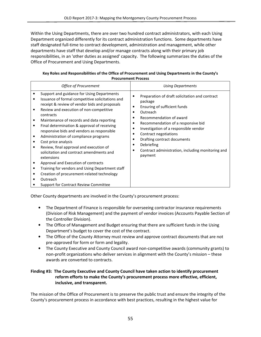Within the Using Departments, there are over two hundred contract administrators, with each Using Department organized differently for its contract administration functions. Some departments have staff designated full-time to contract development, administration and management, while other departments have staff that develop and/or manage contracts along with their primary job responsibilities, in an 'other duties as assigned' capacity. The following summarizes the duties of the Office of Procurement and Using Departments.

| Procurement Process |                                                                                                                                                                                                                                                                                                                                                                                                                                                                                                                                                                                                                                                                                                                            |                                                                                                                                                                                                                                                                                                                                                                                                                                                                         |  |
|---------------------|----------------------------------------------------------------------------------------------------------------------------------------------------------------------------------------------------------------------------------------------------------------------------------------------------------------------------------------------------------------------------------------------------------------------------------------------------------------------------------------------------------------------------------------------------------------------------------------------------------------------------------------------------------------------------------------------------------------------------|-------------------------------------------------------------------------------------------------------------------------------------------------------------------------------------------------------------------------------------------------------------------------------------------------------------------------------------------------------------------------------------------------------------------------------------------------------------------------|--|
|                     | <b>Office of Procurement</b>                                                                                                                                                                                                                                                                                                                                                                                                                                                                                                                                                                                                                                                                                               | <b>Using Departments</b>                                                                                                                                                                                                                                                                                                                                                                                                                                                |  |
| ٠                   | Support and guidance for Using Departments<br>Issuance of formal competitive solicitations and<br>receipt & review of vendor bids and proposals<br>Review and execution of non-competitive<br>contracts<br>Maintenance of records and data reporting<br>Final determination & approval of receiving<br>responsive bids and vendors as responsible<br>Administration of compliance programs<br>Cost price analysis<br>Review, final approval and execution of<br>solicitation and contract amendments and<br>extensions<br>Approval and Execution of contracts<br>Training for vendors and Using Department staff<br>Creation of procurement-related technology<br>Outreach<br><b>Support for Contract Review Committee</b> | Preparation of draft solicitation and contract<br>$\bullet$<br>package<br>Ensuring of sufficient funds<br>٠<br>Outreach<br>$\bullet$<br>Recommendation of award<br>$\bullet$<br>Recommendation of a responsive bid<br>$\bullet$<br>Investigation of a responsible vendor<br>$\bullet$<br>Contract negotiations<br>٠<br>Drafting contract documents<br>$\bullet$<br>Debriefing<br>$\bullet$<br>Contract administration, including monitoring and<br>$\bullet$<br>payment |  |

#### Key Roles and Responsibilities of the Office of Procurement and Using Departments in the County's Procurement Process

Other County departments are involved in the County's procurement process:

- The Department of Finance is responsible for overseeing contractor insurance requirements (Division of Risk Management) and the payment of vendor invoices (Accounts Payable Section of the Controller Division).
- The Office of Management and Budget ensuring that there are sufficient funds in the Using Department's budget to cover the cost of the contract.
- The Office of the County Attorney must review and approve contract documents that are not pre-approved for form or form and legality.
- The County Executive and County Council award non-competitive awards (community grants) to non-profit organizations who deliver services in alignment with the County's mission – these awards are converted to contracts.

#### Finding #3: The County Executive and County Council have taken action to identify procurement reform efforts to make the County's procurement process more effective, efficient, inclusive, and transparent.

The mission of the Office of Procurement is to preserve the public trust and ensure the integrity of the County's procurement process in accordance with best practices, resulting in the highest value for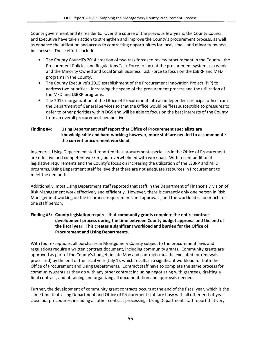County government and its residents. Over the course of the previous few years, the County Council and Executive have taken action to strengthen and improve the County's procurement process, as well as enhance the utilization and access to contracting opportunities for local, small, and minority-owned businesses. These efforts include:

- The County Council's 2014 creation of two task forces to review procurement in the County the Procurement Policies and Regulations Task Force to look at the procurement system as a whole and the Minority Owned and Local Small Business Task Force to focus on the LSBRP and MFD programs in the County.
- The County Executive's 2015 establishment of the Procurement Innovation Project (PIP) to address two priorities - increasing the speed of the procurement process and the utilization of the MFD and LSBRP programs.
- The 2015 reorganization of the Office of Procurement into an independent principal office from the Department of General Services so that the Office would be "less susceptible to pressures to defer to other priorities within DGS and will be able to focus on the best interests of the County from an overall procurement perspective."

# Finding #4: Using Department staff report that Office of Procurement specialists are knowledgeable and hard-working; however, more staff are needed to accommodate the current procurement workload.

In general, Using Department staff reported that procurement specialists in the Office of Procurement are effective and competent workers, but overwhelmed with workload. With recent additional legislative requirements and the County's focus on increasing the utilization of the LSBRP and MFD programs, Using Department staff believe that there are not adequate resources in Procurement to meet the demand.

Additionally, most Using Department staff reported that staff in the Department of Finance's Division of Risk Management work effectively and efficiently. However, there is currently only one person in Risk Management working on the insurance requirements and approvals, and the workload is too much for one staff person.

#### Finding #5: County legislation requires that community grants complete the entire contract development process during the time between County budget approval and the end of the fiscal year. This creates a significant workload and burden for the Office of Procurement and Using Departments.

With four exceptions, all purchases in Montgomery County subject to the procurement laws and regulations require a written contract document, including community grants. Community grants are approved as part of the County's budget, in late May and contracts must be executed (or renewals processed) by the end of the fiscal year (July 1), which results in a significant workload for both the Office of Procurement and Using Departments. Contract staff have to complete the same process for community grants as they do with any other contract including negotiating with grantees, drafting a final contract, and obtaining and organizing all documentation and approvals needed.

Further, the development of community grant contracts occurs at the end of the fiscal year, which is the same time that Using Department and Office of Procurement staff are busy with all other end-of-year close out procedures, including all other contract processing. Using Department staff report that very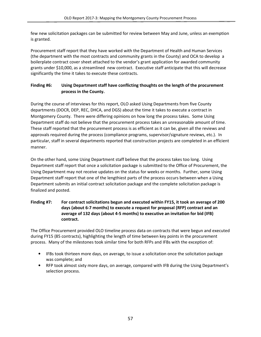few new solicitation packages can be submitted for review between May and June, unless an exemption is granted.

Procurement staff report that they have worked with the Department of Health and Human Services (the department with the most contracts and community grants in the County) and OCA to develop a boilerplate contract cover sheet attached to the vendor's grant application for awarded community grants under \$10,000, as a streamlined new contract. Executive staff anticipate that this will decrease significantly the time it takes to execute these contracts.

# Finding #6: Using Department staff have conflicting thoughts on the length of the procurement process in the County.

During the course of interviews for this report, OLO asked Using Departments from five County departments (DOCR, DEP, REC, DHCA, and DGS) about the time it takes to execute a contract in Montgomery County. There were differing opinions on how long the process takes. Some Using Department staff do not believe that the procurement process takes an unreasonable amount of time. These staff reported that the procurement process is as efficient as it can be, given all the reviews and approvals required during the process (compliance programs, supervisor/signature reviews, etc.). In particular, staff in several departments reported that construction projects are completed in an efficient manner.

On the other hand, some Using Department staff believe that the process takes too long. Using Department staff report that once a solicitation package is submitted to the Office of Procurement, the Using Department may not receive updates on the status for weeks or months. Further, some Using Department staff report that one of the lengthiest parts of the process occurs between when a Using Department submits an initial contract solicitation package and the complete solicitation package is finalized and posted.

#### Finding #7: For contract solicitations begun and executed within FY15, it took an average of 200 days (about 6-7 months) to execute a request for proposal (RFP) contract and an average of 132 days (about 4-5 months) to executive an invitation for bid (IFB) contract.

The Office Procurement provided OLO timeline process data on contracts that were begun and executed during FY15 (85 contracts), highlighting the length of time between key points in the procurement process. Many of the milestones took similar time for both RFPs and IFBs with the exception of:

- IFBs took thirteen more days, on average, to issue a solicitation once the solicitation package was complete; and
- RFP took almost sixty more days, on average, compared with IFB during the Using Department's selection process.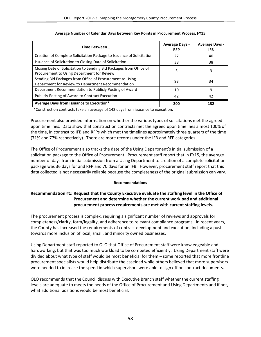| Time Between                                                                                                      | <b>Average Days -</b><br><b>RFP</b> | <b>Average Days -</b><br>IFB |
|-------------------------------------------------------------------------------------------------------------------|-------------------------------------|------------------------------|
| Creation of Complete Solicitation Package to Issuance of Solicitation                                             | 27                                  | 40                           |
| Issuance of Solicitation to Closing Date of Solicitation                                                          | 38                                  | 38                           |
| Closing Date of Solicitation to Sending Bid Packages from Office of<br>Procurement to Using Department for Review | 3                                   | 3                            |
| Sending Bid Packages from Office of Procurement to Using<br>Department for Review to Department Recommendation    | 93                                  | 34                           |
| Department Recommendation to Publicly Posting of Award                                                            | 10                                  | 9                            |
| Publicly Posting of Award to Contract Execution                                                                   | 42                                  | 42                           |
| Average Days from Issuance to Execution*                                                                          | 200                                 | 132                          |

#### Average Number of Calendar Days between Key Points in Procurement Process, FY15

\*Construction contracts take an average of 142 days from issuance to execution.

Procurement also provided information on whether the various types of solicitations met the agreed upon timelines. Data show that construction contracts met the agreed upon timelines almost 100% of the time, in contrast to IFB and RFPs which met the timelines approximately three quarters of the time (71% and 77% respectively). There are more records under the IFB and RFP categories.

The Office of Procurement also tracks the date of the Using Department's initial submission of a solicitation package to the Office of Procurement. Procurement staff report that in FY15, the average number of days from initial submission from a Using Department to creation of a complete solicitation package was 36 days for and RFP and 70 days for an IFB. However, procurement staff report that this data collected is not necessarily reliable because the completeness of the original submission can vary.

#### **Recommendations**

### Recommendation #1: Request that the County Executive evaluate the staffing level in the Office of Procurement and determine whether the current workload and additional procurement process requirements are met with current staffing levels.

The procurement process is complex, requiring a significant number of reviews and approvals for completeness/clarity, form/legality, and adherence to relevant compliance programs. In recent years, the County has increased the requirements of contract development and execution, including a push towards more inclusion of local, small, and minority owned businesses.

Using Department staff reported to OLO that Office of Procurement staff were knowledgeable and hardworking, but that was too much workload to be competed efficiently. Using Department staff were divided about what type of staff would be most beneficial for them – some reported that more frontline procurement specialists would help distribute the caseload while others believed that more supervisors were needed to increase the speed in which supervisors were able to sign off on contract documents.

OLO recommends that the Council discuss with Executive Branch staff whether the current staffing levels are adequate to meets the needs of the Office of Procurement and Using Departments and if not, what additional positions would be most beneficial.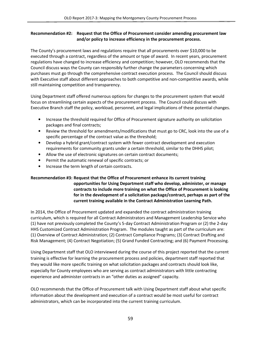#### Recommendation #2: Request that the Office of Procurement consider amending procurement law and/or policy to increase efficiency in the procurement process.

The County's procurement laws and regulations require that all procurements over \$10,000 to be executed through a contract, regardless of the amount or type of award. In recent years, procurement regulations have changed to increase efficiency and competition; however, OLO recommends that the Council discuss ways the County can responsibly further change the parameters concerning which purchases must go through the comprehensive contract execution process. The Council should discuss with Executive staff about different approaches to both competitive and non-competitive awards, while still maintaining competition and transparency.

Using Department staff offered numerous options for changes to the procurement system that would focus on streamlining certain aspects of the procurement process. The Council could discuss with Executive Branch staff the policy, workload, personnel, and legal implications of these potential changes.

- Increase the threshold required for Office of Procurement signature authority on solicitation packages and final contracts;
- Review the threshold for amendments/modifications that must go to CRC, look into the use of a specific percentage of the contract value as the threshold;
- Develop a hybrid grant/contract system with fewer contract development and execution requirements for community grants under a certain threshold, similar to the DHHS pilot;
- Allow the use of electronic signatures on certain contract documents;
- Permit the automatic renewal of specific contracts; or
- Increase the term length of certain contracts.

### Recommendation #3: Request that the Office of Procurement enhance its current training opportunities for Using Department staff who develop, administer, or manage contracts to include more training on what the Office of Procurement is looking for in the development of a solicitation package/contract, perhaps as part of the current training available in the Contract Administration Learning Path.

In 2014, the Office of Procurement updated and expanded the contract administration training curriculum, which is required for all Contract Administrators and Management Leadership Service who (1) have not previously completed the County's 5-day Contract Administration Program or (2) the 2-day HHS Customized Contract Administration Program. The modules taught as part of the curriculum are: (1) Overview of Contract Administration; (2) Contract Compliance Programs; (3) Contract Drafting and Risk Management; (4) Contract Negotiation; (5) Grand Funded Contracting; and (6) Payment Processing.

Using Department staff that OLO interviewed during the course of this project reported that the current training is effective for learning the procurement process and policies, department staff reported that they would like more specific training on what solicitation packages and contracts should look like, especially for County employees who are serving as contract administrators with little contracting experience and administer contracts in an "other duties as assigned" capacity.

OLO recommends that the Office of Procurement talk with Using Department staff about what specific information about the development and execution of a contract would be most useful for contract administrators, which can be incorporated into the current training curriculum.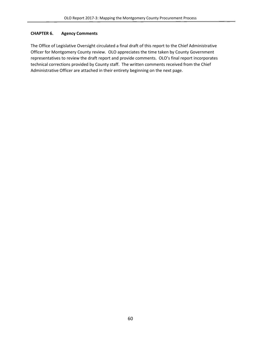# CHAPTER 6. Agency Comments

The Office of Legislative Oversight circulated a final draft of this report to the Chief Administrative Officer for Montgomery County review. OLO appreciates the time taken by County Government representatives to review the draft report and provide comments. OLO's final report incorporates technical corrections provided by County staff. The written comments received from the Chief Administrative Officer are attached in their entirety beginning on the next page.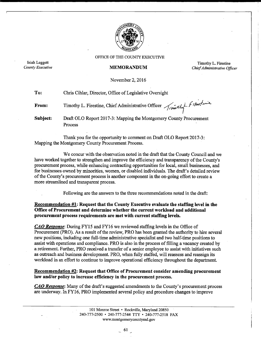

OFFICE OF THE COUNTY EXECUTIVE

**MEMORANDUM** 

Isiah Leggett

County Executive

Process

Timothy L. Firestine Chief Administrative Officer

November 2, 2016

To: Chris Cihlar, Director, Office of Legislative Oversight Timothy L. Firestine, Chief Administrative Officer *Timothy* Fillestine From: Subject: Draft OLO Report 2017-3: Mapping the Montgomery County Procurement

Thank you for the opportunity to comment on Draft OLO Report 2017-3: Mapping the Montgomery County Procurement Process.

We concur with the observation noted in the draft that the County Council and we have worked together to strengthen and improve the efficiency and transparency of the County's procurement process, while enhancing contracting opportunities for local, small businesses, and for businesses owned by minorities, women, or disabled individuals. The draft's detailed review of the County's procurement process is another component in the on-going effort to create a more streamlined and transparent process.

Following are the answers to the three recommendations noted in the draft:

Recommendation #1: Request that the County Executive evaluate the staffing level in the Office of Procurement and determine whether the current workload and additional procurement process requirements are met with current staffing levels.

**CAO Response:** During FY15 and FY16 we reviewed staffing levels in the Office of Procurement (PRO). As a result of the review, PRO has been granted the authority to hire several new positions, including one full-time administrative specialist and two half-time positions to assist with operations and compliance. PRO is also in the process of filling a vacancy created by a retirement. Further, PRO received a transfer of a senior employee to assist with initiatives such as outreach and business development. PRO, when fully staffed, will reassess and reassign its workload in an effort to continue to improve operational efficiency throughout the department.

**Recommendation #2: Request that Office of Procurement consider amending procurement** law and/or policy to increase efficiency in the procurement process.

**CAO Response:** Many of the draft's suggested amendments to the County's procurement process are underway. In FY16, PRO implemented several policy and procedure changes to improve